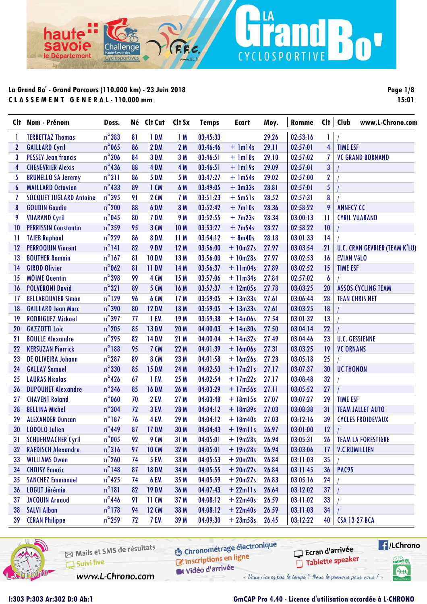ha

avoie

le Département

n

|                 | Clt Nom - Prénom               | Doss.           |    | Né Clt Cat   | Clt Sx          | <b>Temps</b> | Ecart       | Moy.  | Romme    | Cl <sub>†</sub>  | Club<br>www.L-Chrono.com             |
|-----------------|--------------------------------|-----------------|----|--------------|-----------------|--------------|-------------|-------|----------|------------------|--------------------------------------|
| T.              | <b>TERRETTAZ Thomas</b>        | $n^{\circ}$ 383 | 81 | 1 DM         | 1M              | 03:45:33     |             | 29.26 | 02:53:16 | $\mathbf{I}$     |                                      |
| $\mathbf 2$     | <b>GAILLARD Cyril</b>          | $n^{\circ}$ 065 | 86 | 2 DM         | 2M              | 03:46:46     | $+$ 1m14s   | 29.11 | 02:57:01 | $\overline{4}$   | <b>TIME ESF</b>                      |
| 3               | <b>PESSEY Jean francis</b>     | $n^{\circ}$ 206 | 84 | 3 DM         | 3M              | 03:46:51     | $+$ $lm18s$ | 29.10 | 02:57:02 | $\overline{I}$   | <b>VC GRAND BORNAND</b>              |
| 4               | <b>CHENEVRIER Alexis</b>       | $n^{\circ}$ 436 | 88 | 4 DM         | 4 M             | 03:46:51     | $+$ 1m19s   | 29.09 | 02:57:01 | 3                |                                      |
| 5               | <b>BRUNELLO SA Jeremy</b>      | $n^{\circ}311$  | 86 | <b>5 DM</b>  | 5 M             | 03:47:27     | $+$ 1m54s   | 29.02 | 02:57:00 | $\mathbf{2}$     |                                      |
| 6               | <b>MAILLARD Octavien</b>       | $n^{\circ}$ 433 | 89 | $1$ CM       | 6 M             | 03:49:05     | $+3m33s$    | 28.81 | 02:57:01 | 5                |                                      |
| 7               | <b>SOCQUET JUGLARD Antoine</b> | $n^{\circ}$ 395 | 91 | <b>2 CM</b>  | 7 M             | 03:51:23     | $+5m51s$    | 28.52 | 02:57:31 | 8                |                                      |
| 8               | <b>GOUDIN Goudin</b>           | $n^{\circ}$ 200 | 88 | 6 DM         | 8 M             | 03:52:42     | $+7$ ml0s   | 28.36 | 02:58:22 | 9                | <b>ANNECY CC</b>                     |
| 9               | <b>VUARAND Cyril</b>           | $n^{\circ}$ 045 | 80 | 7 DM         | 9 M             | 03:52:55     | $+7m23s$    | 28.34 | 03:00:13 | $\mathbf{1}$     | <b>CYRIL VUARAND</b>                 |
| 10              | <b>PERRISSIN Constantin</b>    | $n^{\circ}$ 359 | 95 | 3 CM         | 10 <sub>M</sub> | 03:53:27     | $+7m54s$    | 28.27 | 02:58:22 | 10               |                                      |
| 11              | <b>TAIEB Raphael</b>           | $n^{\circ}$ 229 | 86 | <b>8 DM</b>  | 11M             | 03:54:12     | $+ 8m40s$   | 28.18 | 03:01:33 | 14               |                                      |
| 12              | <b>PERROQUIN Vincent</b>       | $n^{\circ}$ 141 | 82 | 9 DM         | 12M             | 03:56:00     | $+10m27s$   | 27.97 | 03:03:54 | 21               | <b>U.C. CRAN GEVRIER (TEAM K'LU)</b> |
| 13              | <b>BOUTHER Romain</b>          | $n^{\circ}$ 167 | 81 | <b>10 DM</b> | 13 M            | 03:56:00     | $+10m28s$   | 27.97 | 03:02:53 | 16               | <b>EVIAN VéLO</b>                    |
| $\overline{14}$ | <b>GIROD Olivier</b>           | $n^{\circ}$ 062 | 81 | <b>11 DM</b> | 14 M            | 03:56:37     | $+11m04s$   | 27.89 | 03:02:52 | 15               | <b>TIME ESF</b>                      |
| 15              | <b>MOIME Quentin</b>           | $n^{\circ}$ 398 | 99 | <b>4 CM</b>  | 15 M            | 03:57:06     | $+11m34s$   | 27.84 | 02:57:02 | $\boldsymbol{6}$ |                                      |
| 16              | <b>POLVERONI David</b>         | $n^{\circ}321$  | 89 | <b>5 CM</b>  | 16 M            | 03:57:37     | $+ 12m05s$  | 27.78 | 03:03:25 | 20               | <b>ASSOS CYCLING TEAM</b>            |
| 17              | <b>BELLABOUVIER Simon</b>      | $n^{\circ}$ 129 | 96 | <b>6 CM</b>  | 17M             | 03:59:05     | $+ 13m33s$  | 27.61 | 03:06:44 | 28               | <b>TEAN CHRIS NET</b>                |
| 18              | <b>GAILLARD Jean Marc</b>      | $n^{\circ}$ 390 | 80 | <b>12 DM</b> | 18 M            | 03:59:05     | $+ 13m33s$  | 27.61 | 03:03:25 | 18               |                                      |
| 19              | <b>RODRIGUEZ Mickael</b>       | $n^{\circ}$ 397 | 77 | 1 EM         | 19M             | 03:59:38     | $+ 14m06s$  | 27.54 | 03:01:32 | 13               |                                      |
| 20              | <b>GAZZOTTI Loic</b>           | $n^{\circ}$ 205 | 85 | <b>13 DM</b> | <b>20 M</b>     | 04:00:03     | $+ 14m30s$  | 27.50 | 03:04:14 | 22               |                                      |
| 21              | <b>BOULLE Alexandre</b>        | $n^{\circ}$ 295 | 82 | <b>14 DM</b> | 21 M            | 04:00:04     | $+14m32s$   | 27.49 | 03:04:46 | 23               | <b>U.C. GESSIENNE</b>                |
| 22              | <b>KERSUZAN Pierrick</b>       | $n^{\circ}188$  | 95 | <b>7 CM</b>  | 22 M            | 04:01:39     | $+ 16m06s$  | 27.31 | 03:03:25 | 19               | <b>VC ORNANS</b>                     |
| 23              | DE OLIVEIRA Johann             | $n^{\circ}$ 287 | 89 | <b>8 CM</b>  | 23 M            | 04:01:58     | $+ 16m26s$  | 27.28 | 03:05:18 | 25               |                                      |
| 24              | <b>GALLAY Samuel</b>           | $n^{\circ}330$  | 85 | <b>15 DM</b> | 24 M            | 04:02:53     | $+17m21s$   | 27.17 | 03:07:37 | 30               | <b>UC THONON</b>                     |
| 25              | <b>LAURAS Nicolas</b>          | $n^{\circ}$ 426 | 67 | 1 FM         | 25 M            | 04:02:54     | $+17m22s$   | 27.17 | 03:08:48 | 32               |                                      |
| 26              | <b>DUPOUHET Alexandre</b>      | $n^{\circ}$ 346 | 85 | <b>16 DM</b> | 26 M            | 04:03:29     | $+ 17m56s$  | 27.11 | 03:05:52 | 27               |                                      |
| 27              | <b>CHAVENT Roland</b>          | $n^{\circ}$ 060 | 70 | 2 EM         | 27 M            | 04:03:48     | $+ 18m15s$  | 27.07 | 03:07:27 | 29               | <b>TIME ESF</b>                      |
| 28              | <b>BELLINA Michel</b>          | $n^{\circ}304$  | 72 | 3 EM         | 28 M            | 04:04:12     | $+ 18m39s$  | 27.03 | 03:08:38 | 31               | <b>TEAM JALLET AUTO</b>              |
| 29              | <b>ALEXANDER Duncan</b>        | $n^{\circ}187$  | 76 | 4 EM         | 29 M            | 04:04:12     | $+ 18m40s$  | 27.03 | 03:12:16 | 39               | <b>CYCLES FROIDEVAUX</b>             |
| 30              | <b>LODOLO Julien</b>           | $n^{\circ}$ 449 | 87 | <b>17 DM</b> | 30 M            | 04:04:43     | $+ 19$ mlls | 26.97 | 03:01:00 | 12               |                                      |
| 31              | <b>SCHUEHMACHER Cyril</b>      | $n^{\circ}005$  | 92 | 9 CM         | 31 M            | 04:05:01     | $+19m28s$   | 26.94 | 03:05:31 | 26               | <b>TEAM LA FORESTIÈRE</b>            |
| 32              | <b>RAEDISCH Alexandre</b>      | $n^{\circ}316$  | 97 | <b>10 CM</b> | 32 M            | 04:05:01     | $+19m28s$   | 26.94 | 03:03:06 | 17               | <b>V.C.RUMILLIEN</b>                 |
| 33              | <b>WILLIAMS Owen</b>           | $n^{\circ}$ 260 | 74 | <b>5 EM</b>  | 33 M            | 04:05:53     | $+20m20s$   | 26.84 | 03:11:03 | 35               |                                      |
| 34              | <b>CHOISY Emeric</b>           | $n^{\circ}$ 148 | 87 | <b>18DM</b>  | 34 M            | 04:05:55     | $+20m22s$   | 26.84 | 03:11:45 | 36               | <b>PAC95</b>                         |
| 35              | <b>SANCHEZ Emmanuel</b>        | $n^{\circ}$ 425 | 74 | 6 EM         | 35 M            | 04:05:59     | $+20m27s$   | 26.83 | 03:05:16 | 24               |                                      |
| 36              | LOGUT Jérémie                  | $n^{\circ}181$  | 82 | <b>19 DM</b> | 36 M            | 04:07:43     | $+ 22$ mlls | 26.64 | 03:12:02 | 37               |                                      |
| 37              | <b>JACQUIN Arnaud</b>          | $n^{\circ}$ 446 | 91 | 11 CM        | 37 M            | 04:08:12     | $+22m40s$   | 26.59 | 03:11:02 | 33               |                                      |
| 38              | <b>SALVI Alban</b>             | $n^{\circ}$ 178 | 94 | <b>12 CM</b> | 38 M            | 04:08:12     | $+22m40s$   | 26.59 | 03:11:03 | 34               |                                      |
| 39              | <b>CERAN Philippe</b>          | $n^{\circ}$ 259 | 72 | 7 EM         | 39 M            | 04:09:30     | $+23m58s$   | 26.45 | 03:12:22 | 40               | <b>CSA 13-27 BCA</b>                 |

LA

CYCLOSPORTIVE

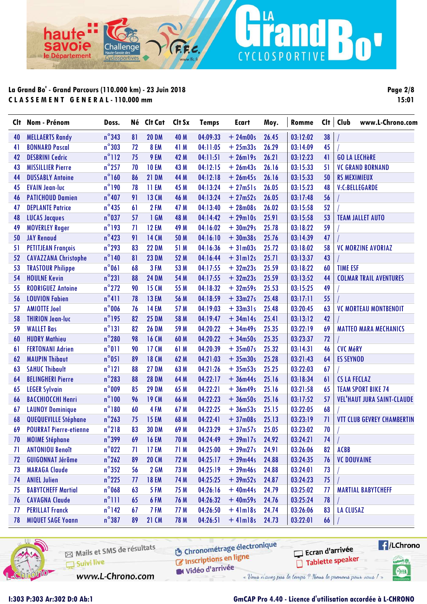ha

avoie

le Département

**Page 2/8 15:01**

n'

| Clt | Nom - Prénom                  | Doss.           | Né | Clt Cat      | Clt Sx | <b>Temps</b> | Ecart         | Moy.  | Romme    | Clt | Club<br>www.L-Chrono.com          |
|-----|-------------------------------|-----------------|----|--------------|--------|--------------|---------------|-------|----------|-----|-----------------------------------|
| 40  | <b>MELLAERTS Randy</b>        | $n^{\circ}343$  | 81 | <b>20 DM</b> | 40 M   | 04:09:33     | $+24m00s$     | 26.45 | 03:12:02 | 38  |                                   |
| 41  | <b>BONNARD Pascal</b>         | $n^{\circ}303$  | 72 | 8 EM         | 41 M   | 04:11:05     | $+25m33s$     | 26.29 | 03:14:09 | 45  |                                   |
| 42  | <b>DESBRINI Cedric</b>        | $n^{\circ}112$  | 75 | 9 EM         | 42 M   | 04:11:51     | $+26$ ml9s    | 26.21 | 03:12:23 | 41  | <b>GO LA LECHÈRE</b>              |
| 43  | <b>MISSILLIER Pierre</b>      | $n^{\circ}$ 257 | 70 | <b>10 EM</b> | 43 M   | 04:12:15     | $+26m43s$     | 26.16 | 03:15:33 | 51  | <b>VC GRAND BORNAND</b>           |
| 44  | <b>DUSSABLY Antoine</b>       | $n^{\circ}$ 160 | 86 | <b>21 DM</b> | 44 M   | 04:12:18     | $+26m45s$     | 26.16 | 03:15:33 | 50  | <b>RS MEXIMIEUX</b>               |
| 45  | <b>EVAIN Jean-luc</b>         | $n^{\circ}$ 190 | 78 | 11 EM        | 45 M   | 04:13:24     | $+27m51s$     | 26.05 | 03:15:23 | 48  | V:C:BELLEGARDE                    |
| 46  | <b>PATICHOUD Damien</b>       | $n^{\circ}407$  | 91 | <b>13 CM</b> | 46 M   | 04:13:24     | $+27m52s$     | 26.05 | 03:17:48 | 56  |                                   |
| 47  | <b>DEPLANTE Patrice</b>       | $n^{\circ}435$  | 61 | 2 FM         | 47 M   | 04:13:40     | $+28m08s$     | 26.02 | 03:15:58 | 52  |                                   |
| 48  | <b>LUCAS Jacques</b>          | $n^{\circ}$ 037 | 57 | 1 GM         | 48 M   | 04:14:42     | $+29$ ml0s    | 25.91 | 03:15:58 | 53  | <b>TEAM JALLET AUTO</b>           |
| 49  | <b>MOVERLEY Roger</b>         | $n^{\circ}$ 193 | 71 | <b>12 EM</b> | 49 M   | 04:16:02     | $+30m29s$     | 25.78 | 03:18:22 | 59  |                                   |
| 50  | <b>JAY Renaud</b>             | $n^{\circ}423$  | 91 | <b>14 CM</b> | 50 M   | 04:16:10     | $+30m38s$     | 25.76 | 03:14:39 | 47  |                                   |
| 51  | <b>PETITJEAN François</b>     | $n^{\circ}$ 293 | 83 | <b>22 DM</b> | 51 M   | 04:16:36     | $+31m03s$     | 25.72 | 03:18:02 | 58  | <b>VC MORZINE AVORIAZ</b>         |
| 52  | <b>CAVAZZANA Christophe</b>   | $n^{\circ}$ 140 | 81 | <b>23 DM</b> | 52 M   | 04:16:44     | $+31ml2s$     | 25.71 | 03:13:37 | 43  |                                   |
| 53  | <b>TRASTOUR Philippe</b>      | $n^{\circ}061$  | 68 | 3 FM         | 53 M   | 04:17:55     | $+32m23s$     | 25.59 | 03:18:22 | 60  | <b>TIME ESF</b>                   |
| 54  | <b>HOULNE Kevin</b>           | $n^{\circ}231$  | 88 | <b>24 DM</b> | 54 M   | 04:17:55     | $+32m23s$     | 25.59 | 03:13:52 | 44  | <b>COLMAR TRAIL AVENTURES</b>     |
| 55  | <b>RODRIGUEZ Antoine</b>      | $n^{\circ}$ 272 | 90 | <b>15 CM</b> | 55 M   | 04:18:32     | $+32m59s$     | 25.53 | 03:15:25 | 49  |                                   |
| 56  | <b>LOUVION Fabien</b>         | $n^{\circ}411$  | 78 | <b>13 EM</b> | 56 M   | 04:18:59     | $+33m27s$     | 25.48 | 03:17:11 | 55  |                                   |
| 57  | <b>AMIOTTE Joel</b>           | $n^{\circ}$ 006 | 76 | <b>14 EM</b> | 57 M   | 04:19:03     | $+33m31s$     | 25.48 | 03:20:45 | 63  | <b>VC MORTEAU MONTBENOIT</b>      |
| 58  | <b>THIRION Jean-luc</b>       | $n^{\circ}$ 195 | 82 | <b>25 DM</b> | 58 M   | 04:19:47     | $+34ml4s$     | 25.41 | 03:13:12 | 42  |                                   |
| 59  | <b>WALLET Bas</b>             | $n^{\circ}131$  | 82 | <b>26 DM</b> | 59 M   | 04:20:22     | $+34m49s$     | 25.35 | 03:22:19 | 69  | <b>MATTEO MARA MECHANICS</b>      |
| 60  | <b>HUDRY Mathieu</b>          | $n^{\circ}280$  | 98 | <b>16 CM</b> | 60 M   | 04:20:22     | $+34m50s$     | 25.35 | 03:23:37 | 72  |                                   |
| 61  | <b>FERTONANI Adrien</b>       | $n^{\circ}011$  | 90 | 17 CM        | 61 M   | 04:20:39     | $+35m07s$     | 25.32 | 03:14:31 | 46  | <b>CVC MéRY</b>                   |
| 62  | <b>MAUPIN Thibaut</b>         | $n^{\circ}051$  | 89 | <b>18 CM</b> | 62 M   | 04:21:03     | $+35m30s$     | 25.28 | 03:21:43 | 64  | <b>ES SEYNOD</b>                  |
| 63  | <b>SAHUC Thibault</b>         | $n^{\circ}121$  | 88 | <b>27 DM</b> | 63 M   | 04:21:26     | $+35m53s$     | 25.25 | 03:22:03 | 67  |                                   |
| 64  | <b>BELINGHERI Pierre</b>      | $n^{\circ}$ 283 | 88 | <b>28 DM</b> | 64 M   | 04:22:17     | $+36m44s$     | 25.16 | 03:18:34 | 61  | <b>CS LA FECLAZ</b>               |
| 65  | <b>LEGER Sylvain</b>          | $n^{\circ}$ 009 | 85 | <b>29 DM</b> | 65 M   | 04:22:21     | $+36m49s$     | 25.16 | 03:21:58 | 65  | <b>TEAM SPORT BIKE 74</b>         |
| 66  | <b>BACCHIOCCHI Henri</b>      | $n^{\circ}100$  | 96 | <b>19 CM</b> | 66 M   | 04:22:23     | $+36m50s$     | 25.16 | 03:17:52 | 57  | <b>VEL'HAUT JURA SAINT-CLAUDE</b> |
| 67  | <b>LAUNOY Dominique</b>       | $n^{\circ}180$  | 60 | 4 FM         | 67 M   | 04:22:25     | $+36m53s$     | 25.15 | 03:22:05 | 68  |                                   |
| 68  | QUEQUEVILLE Stéphane          | $n^{\circ}$ 263 | 75 | <b>15 EM</b> | 68 M   | 04:22:41     | $+37m08s$     | 25.13 | 03:23:19 | 71  | <b>VTT CLUB GEVREY CHAMBERTIN</b> |
| 69  | <b>POURRAT Pierre-etienne</b> | $n^{\circ}$ 218 | 83 | <b>30 DM</b> | 69 M   | 04:23:29     | $+37m57s$     | 25.05 | 03:23:02 | 70  |                                   |
| 70  | <b>MOIME Stéphane</b>         | $n^{\circ}$ 399 | 69 | <b>16 EM</b> | 70 M   | 04:24:49     | $+39$ m $17s$ | 24.92 | 03:24:21 | 74  |                                   |
| 71  | <b>ANTONIOU Benoît</b>        | $n^{\circ}022$  | 71 | 17 EM        | 71 M   | 04:25:00     | $+39m27s$     | 24.91 | 03:26:06 | 82  | <b>ACBB</b>                       |
| 72  | <b>GUIGONNAT Jérôme</b>       | $n^{\circ}$ 262 | 89 | <b>20 CM</b> | 72 M   | 04:25:17     | $+39m44s$     | 24.88 | 03:24:35 | 76  | <b>VC DOUVAINE</b>                |
| 73  | <b>MARAGA Claude</b>          | $n^{\circ}352$  | 56 | <b>2 GM</b>  | 73 M   | 04:25:19     | $+39m46s$     | 24.88 | 03:24:01 | 73  |                                   |
| 74  | <b>ANIEL Julien</b>           | $n^{\circ}$ 225 | 77 | <b>18 EM</b> | 74 M   | 04:25:25     | $+39m52s$     | 24.87 | 03:24:23 | 75  |                                   |
| 75  | <b>BABYTCHEFF Martial</b>     | $n^{\circ}$ 068 | 63 | 5 FM         | 75 M   | 04:26:16     | $+40m44s$     | 24.79 | 03:25:02 | 77  | <b>MARTIAL BABYTCHEFF</b>         |
| 76  | <b>CAVAGNA Claude</b>         | $n^{\circ}$ 111 | 65 | 6 FM         | 76 M   | 04:26:32     | $+40m59s$     | 24.76 | 03:25:24 | 78  |                                   |
| 77  | <b>PERILLAT Franck</b>        | $n^{\circ}$ 142 | 67 | 7 FM         | 77 M   | 04:26:50     | $+4$ lm $18s$ | 24.74 | 03:26:06 | 83  | <b>LA CLUSAZ</b>                  |
| 78  | <b>MIQUET SAGE Yoann</b>      | $n^{\circ}387$  | 89 | <b>21 CM</b> | 78 M   | 04:26:51     | $+41ml8s$     | 24.73 | 03:22:01 | 66  |                                   |
|     |                               |                 |    |              |        |              |               |       |          |     |                                   |

LA

CYCLOSPORTIVE

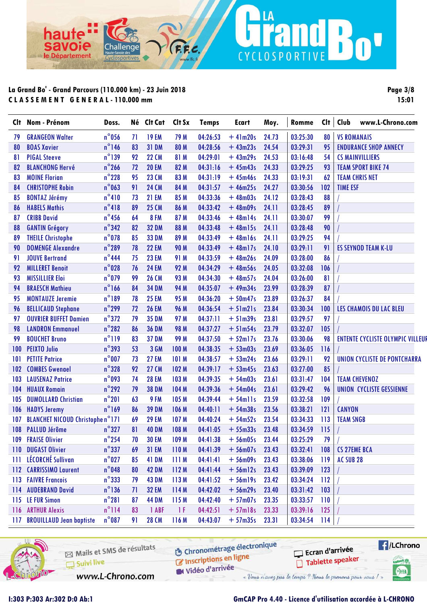ha

avoie

le Département

**Page 3/8 15:01**

n

| $n^{\circ}$ 056<br>03:25:30<br><b>19 EM</b><br>79 M<br>04:26:53<br>$+41m20s$<br>24.73<br>80<br><b>VS ROMANAIS</b><br><b>GRANGEON Walter</b><br>71<br>79<br>$n^{\circ}$ 146<br>95<br><b>BOAS Xavier</b><br>83<br><b>31 DM</b><br>80 M<br>04:28:56<br>$+43m23s$<br>24.54<br>03:29:31<br><b>ENDURANCE SHOP ANNECY</b><br>80<br>$n^{\circ}$ 139<br><b>22 CM</b><br>04:29:01<br><b>PIGAL Steeve</b><br>92<br>81 M<br>$+43m29s$<br>24.53<br>03:16:48<br>54<br><b>CS MAINVILLIERS</b><br>81<br>$n^{\circ}$ 266<br><b>20 EM</b><br>82 M<br>04:31:16<br>$+45m43s$<br>24.33<br>03:29:25<br>93<br><b>TEAM SPORT BIKE 74</b><br><b>BLANCHONG Hervé</b><br>72<br>82<br>$n^{\circ}$ 228<br>95<br>23 CM<br>83 M<br>04:31:19<br><b>MOINE Florian</b><br>$+45m46s$<br>24.33<br>03:19:31<br>62<br>83<br><b>TEAM CHRIS NET</b><br>$n^{\circ}$ 063<br>91<br><b>24 CM</b><br><b>CHRISTOPHE Robin</b><br>84 M<br>04:31:57<br>24.27<br>03:30:56<br>102<br><b>TIME ESF</b><br>$+46m25s$<br>84<br>$n^{\circ}410$<br><b>21 EM</b><br>88<br><b>BONTAZ Jérémy</b><br>73<br>85 M<br>04:33:36<br>$+48m03s$<br>24.12<br>03:28:43<br>85<br>$n^{\circ}418$<br>89<br>89<br><b>25 CM</b><br><b>HABELS Mathis</b><br>86 M<br>04:33:42<br>$+48m09s$<br>24.11<br>03:28:45<br>86<br>$n^{\circ}$ 456<br><b>CRIBB David</b><br>64<br><b>8 FM</b><br>04:33:46<br>03:30:07<br>99<br>87 M<br>$+48m14s$<br>24.11<br>87<br>$n^{\circ}342$<br>90<br>82<br><b>32 DM</b><br>88 M<br>04:33:48<br>$+48m15s$<br>24.11<br>03:28:48<br>88<br><b>GANTIN Grégory</b><br>$n^{\circ}$ 078<br>85<br><b>33 DM</b><br>94<br><b>THEILE Christophe</b><br>89 M<br>04:33:49<br>$+48$ ml6s<br>24.11<br>03:29:25<br>89<br>$n^{\circ}$ 289<br><b>22 EM</b><br><b>DOMENGE Alexandre</b><br>78<br><b>90 M</b><br>04:33:49<br>$+48$ ml7s<br>24.10<br>03:29:11<br>91<br><b>ES SEYNOD TEAM K-LU</b><br>90<br>$n^{\circ}$ 444<br>86<br><b>JOUVE Bertrand</b><br>75<br><b>23 EM</b><br>91 M<br>04:33:59<br>$+48m26s$<br>24.09<br>03:28:00<br>91<br>$n^{\circ}$ 028<br>04:34:29<br>106<br><b>MILLERET Benoit</b><br>76<br><b>24 EM</b><br>92 M<br>$+48m56s$<br>24.05<br>03:32:08<br>92<br>$n^{\circ}$ 079<br>99<br><b>26 CM</b><br>04:34:30<br>81<br><b>MISSILLIER Eloi</b><br>93 M<br>$+48m57s$<br>24.04<br>03:26:00<br>93<br>$n^{\circ}166$<br><b>BRAESCH Mathieu</b><br>84<br><b>34 DM</b><br>94 M<br>04:35:07<br>$+49m34s$<br>23.99<br>03:28:39<br>87<br>94<br>$n^{\circ}189$<br>78<br><b>25 EM</b><br>84<br><b>MONTAUZE Jeremie</b><br>95 M<br>04:36:20<br>$+50m47s$<br>23.89<br>03:26:37<br>95<br>$n^{\circ}$ 299<br><b>BELLICAUD Stephane</b><br>72<br><b>26 EM</b><br><b>96 M</b><br>04:36:54<br>$+51m21s$<br>23.84<br>03:30:34<br>100<br>LES CHAMOIS DU LAC BLEU<br>96<br>$n^{\circ}372$<br>97 M<br>04:37:11<br>03:29:57<br>97<br><b>OUVRIER BUFFET Damien</b><br>79<br><b>35 DM</b><br>$+51m39s$<br>23.81<br>97<br>$n^{\circ}282$<br><b>LANDRON Emmanuel</b><br>86<br><b>36 DM</b><br><b>98 M</b><br>04:37:27<br>$+51m54s$<br>23.79<br>03:32:07<br>105<br>98<br>$n^{\circ}119$<br>83<br><b>37 DM</b><br><b>99 M</b><br>03:30:06<br><b>BOUCHET Bruno</b><br>04:37:50<br>$+52$ ml7s<br>23.76<br>98<br><b>ENTENTE CYCLISTE OLYMPIC VILLEUR</b><br>99<br>$n^{\circ}$ 393<br>3 GM<br><b>PEIXTO Julio</b><br>53<br>100 M<br>04:38:35<br>$+53m03s$<br>23.69<br>03:36:05<br>116<br>100<br>$n^{\circ}$ 007<br><b>27 EM</b><br><b>PETITE Patrice</b><br>73<br>101 M<br>04:38:57<br>$+53m24s$<br>23.66<br>03:29:11<br>92<br>UNION CYCLISTE DE PONTCHARRA<br>101<br>$n^{\circ}328$<br>85<br>92<br><b>27 CM</b><br><b>COMBES Gwenael</b><br>102 M<br>04:39:17<br>$+53m45s$<br>23.63<br>03:27:00<br>102<br>$n^{\circ}$ 093<br>04:39:35<br>74<br><b>28 EM</b><br>103 M<br>$+54m03s$<br>23.61<br>03:31:47<br>104<br><b>TEAM CHEVENOZ</b><br><b>LAUSENAZ Patrice</b><br>103<br>$n^{\circ}$ 292<br><b>HUAUX Romain</b><br>79<br><b>38 DM</b><br>104 M<br>04:39:36<br>$+54m04s$<br>23.61<br>03:29:42<br>96<br><b>UNION CYCLISTE GESSIENNE</b><br>104<br>$n^{\circ}201$<br>63<br>9 FM<br>105 M<br>23.59<br>109<br><b>DUMOLLARD Christian</b><br>04:39:44<br>$+ 54$ mlls<br>03:32:58<br>105<br>$n^{\circ}$ 169<br>86<br><b>39 DM</b><br>04:40:11<br>23.56<br>03:38:21<br>121<br><b>CANYON</b><br><b>HADYS Jeremy</b><br>106 M<br>$+54m38s$<br>106<br><b>BLANCHET NICOUD Christophe n°171</b><br>69<br><b>29 EM</b><br>107 M<br>04:40:24<br>03:34:33<br><b>TEAM SNGB</b><br>$+54m52s$<br>23.54<br>113<br>107<br>$n^{\circ}327$<br>81<br><b>40 DM</b><br>108 M<br>23.48<br>115<br>108 PALLUD Jérôme<br>04:41:05<br>$+55m33s$<br>03:34:59<br>$n^{\circ}$ 254<br>03:25:29<br>79<br>109 FRAISE Olivier<br>70<br><b>30 EM</b><br>109 <sub>M</sub><br>$04:41:38$ + 56m05s<br>23.44<br>$n^{\circ}$ 337<br><b>DUGAST Olivier</b><br>03:32:41<br>69<br><b>31 EM</b><br>110M<br>04:41:39<br>$+56m07s$<br>23.43<br>108<br><b>CS 27EME BCA</b><br>110<br>LÉCORCHÉ Sullivan<br>$n^{\circ}$ 027<br><b>41 DM</b><br>03:38:06<br>85<br>111M<br>04:41:41<br>$+56$ m09s<br>23.43<br>119<br>AC SUB <sub>28</sub><br>Ш<br>$n^{\circ}$ 048<br><b>CARRISSIMO Laurent</b><br><b>42 DM</b><br>04:41:44<br>$+56$ ml2s<br>23.43<br>03:39:09<br>80<br>112M<br>123<br>112<br>$n^{\circ}$ 333<br><b>FAIVRE Francois</b><br><b>43 DM</b><br>04:41:52<br>03:34:24<br>79<br>113 M<br>$+56$ ml9s<br>23.42<br>112<br>113<br>$n^{\circ}$ 136<br>03:31:42<br>103<br><b>AUDEBRAND David</b><br>71<br><b>32 EM</b><br>114 M<br>04:42:02<br>$+56m29s$<br>23.40<br>114<br>$n^{\circ}281$<br><b>LE FUR Simon</b><br>87<br><b>44 DM</b><br>115 M<br>04:42:40<br>$+57m07s$<br>03:33:57<br>110<br>23.35<br>115<br>$n^{\circ}$ 114<br><b>ARTHUR Alexis</b><br>1 ABF<br>04:42:51<br>$+ 57$ ml8s<br>03:39:16<br>83<br>1 F<br>23.33<br>125<br>116<br>$n^{\circ}087$<br><b>28 CM</b><br>$+ 57m35s$ 23.31<br>03:34:54<br><b>BROUILLAUD Jean baptiste</b><br>91<br>116 M<br>04:43:07<br>114<br>117 | CI† | Nom - Prénom | Doss. | Né Clt Cat | Clt Sx | <b>Temps</b> | Ecart | Moy. | Romme | Cl <sub>t</sub> | Club<br>www.L-Chrono.com |
|----------------------------------------------------------------------------------------------------------------------------------------------------------------------------------------------------------------------------------------------------------------------------------------------------------------------------------------------------------------------------------------------------------------------------------------------------------------------------------------------------------------------------------------------------------------------------------------------------------------------------------------------------------------------------------------------------------------------------------------------------------------------------------------------------------------------------------------------------------------------------------------------------------------------------------------------------------------------------------------------------------------------------------------------------------------------------------------------------------------------------------------------------------------------------------------------------------------------------------------------------------------------------------------------------------------------------------------------------------------------------------------------------------------------------------------------------------------------------------------------------------------------------------------------------------------------------------------------------------------------------------------------------------------------------------------------------------------------------------------------------------------------------------------------------------------------------------------------------------------------------------------------------------------------------------------------------------------------------------------------------------------------------------------------------------------------------------------------------------------------------------------------------------------------------------------------------------------------------------------------------------------------------------------------------------------------------------------------------------------------------------------------------------------------------------------------------------------------------------------------------------------------------------------------------------------------------------------------------------------------------------------------------------------------------------------------------------------------------------------------------------------------------------------------------------------------------------------------------------------------------------------------------------------------------------------------------------------------------------------------------------------------------------------------------------------------------------------------------------------------------------------------------------------------------------------------------------------------------------------------------------------------------------------------------------------------------------------------------------------------------------------------------------------------------------------------------------------------------------------------------------------------------------------------------------------------------------------------------------------------------------------------------------------------------------------------------------------------------------------------------------------------------------------------------------------------------------------------------------------------------------------------------------------------------------------------------------------------------------------------------------------------------------------------------------------------------------------------------------------------------------------------------------------------------------------------------------------------------------------------------------------------------------------------------------------------------------------------------------------------------------------------------------------------------------------------------------------------------------------------------------------------------------------------------------------------------------------------------------------------------------------------------------------------------------------------------------------------------------------------------------------------------------------------------------------------------------------------------------------------------------------------------------------------------------------------------------------------------------------------------------------------------------------------------------------------------------------------------------------------------------------------------------------------------------------------------------------------------------------------------------------------------------------------------------------------------------------------------------------------------------------------------------------------------------------------------------------------------------------------------------------------------------------------------------------------------------------------------------------------------------------------------------------------------------------------------------------------------------------------------------------------------------------------------------------------------------------------------------|-----|--------------|-------|------------|--------|--------------|-------|------|-------|-----------------|--------------------------|
|                                                                                                                                                                                                                                                                                                                                                                                                                                                                                                                                                                                                                                                                                                                                                                                                                                                                                                                                                                                                                                                                                                                                                                                                                                                                                                                                                                                                                                                                                                                                                                                                                                                                                                                                                                                                                                                                                                                                                                                                                                                                                                                                                                                                                                                                                                                                                                                                                                                                                                                                                                                                                                                                                                                                                                                                                                                                                                                                                                                                                                                                                                                                                                                                                                                                                                                                                                                                                                                                                                                                                                                                                                                                                                                                                                                                                                                                                                                                                                                                                                                                                                                                                                                                                                                                                                                                                                                                                                                                                                                                                                                                                                                                                                                                                                                                                                                                                                                                                                                                                                                                                                                                                                                                                                                                                                                                                                                                                                                                                                                                                                                                                                                                                                                                                                                                                                                          |     |              |       |            |        |              |       |      |       |                 |                          |
|                                                                                                                                                                                                                                                                                                                                                                                                                                                                                                                                                                                                                                                                                                                                                                                                                                                                                                                                                                                                                                                                                                                                                                                                                                                                                                                                                                                                                                                                                                                                                                                                                                                                                                                                                                                                                                                                                                                                                                                                                                                                                                                                                                                                                                                                                                                                                                                                                                                                                                                                                                                                                                                                                                                                                                                                                                                                                                                                                                                                                                                                                                                                                                                                                                                                                                                                                                                                                                                                                                                                                                                                                                                                                                                                                                                                                                                                                                                                                                                                                                                                                                                                                                                                                                                                                                                                                                                                                                                                                                                                                                                                                                                                                                                                                                                                                                                                                                                                                                                                                                                                                                                                                                                                                                                                                                                                                                                                                                                                                                                                                                                                                                                                                                                                                                                                                                                          |     |              |       |            |        |              |       |      |       |                 |                          |
|                                                                                                                                                                                                                                                                                                                                                                                                                                                                                                                                                                                                                                                                                                                                                                                                                                                                                                                                                                                                                                                                                                                                                                                                                                                                                                                                                                                                                                                                                                                                                                                                                                                                                                                                                                                                                                                                                                                                                                                                                                                                                                                                                                                                                                                                                                                                                                                                                                                                                                                                                                                                                                                                                                                                                                                                                                                                                                                                                                                                                                                                                                                                                                                                                                                                                                                                                                                                                                                                                                                                                                                                                                                                                                                                                                                                                                                                                                                                                                                                                                                                                                                                                                                                                                                                                                                                                                                                                                                                                                                                                                                                                                                                                                                                                                                                                                                                                                                                                                                                                                                                                                                                                                                                                                                                                                                                                                                                                                                                                                                                                                                                                                                                                                                                                                                                                                                          |     |              |       |            |        |              |       |      |       |                 |                          |
|                                                                                                                                                                                                                                                                                                                                                                                                                                                                                                                                                                                                                                                                                                                                                                                                                                                                                                                                                                                                                                                                                                                                                                                                                                                                                                                                                                                                                                                                                                                                                                                                                                                                                                                                                                                                                                                                                                                                                                                                                                                                                                                                                                                                                                                                                                                                                                                                                                                                                                                                                                                                                                                                                                                                                                                                                                                                                                                                                                                                                                                                                                                                                                                                                                                                                                                                                                                                                                                                                                                                                                                                                                                                                                                                                                                                                                                                                                                                                                                                                                                                                                                                                                                                                                                                                                                                                                                                                                                                                                                                                                                                                                                                                                                                                                                                                                                                                                                                                                                                                                                                                                                                                                                                                                                                                                                                                                                                                                                                                                                                                                                                                                                                                                                                                                                                                                                          |     |              |       |            |        |              |       |      |       |                 |                          |
|                                                                                                                                                                                                                                                                                                                                                                                                                                                                                                                                                                                                                                                                                                                                                                                                                                                                                                                                                                                                                                                                                                                                                                                                                                                                                                                                                                                                                                                                                                                                                                                                                                                                                                                                                                                                                                                                                                                                                                                                                                                                                                                                                                                                                                                                                                                                                                                                                                                                                                                                                                                                                                                                                                                                                                                                                                                                                                                                                                                                                                                                                                                                                                                                                                                                                                                                                                                                                                                                                                                                                                                                                                                                                                                                                                                                                                                                                                                                                                                                                                                                                                                                                                                                                                                                                                                                                                                                                                                                                                                                                                                                                                                                                                                                                                                                                                                                                                                                                                                                                                                                                                                                                                                                                                                                                                                                                                                                                                                                                                                                                                                                                                                                                                                                                                                                                                                          |     |              |       |            |        |              |       |      |       |                 |                          |
|                                                                                                                                                                                                                                                                                                                                                                                                                                                                                                                                                                                                                                                                                                                                                                                                                                                                                                                                                                                                                                                                                                                                                                                                                                                                                                                                                                                                                                                                                                                                                                                                                                                                                                                                                                                                                                                                                                                                                                                                                                                                                                                                                                                                                                                                                                                                                                                                                                                                                                                                                                                                                                                                                                                                                                                                                                                                                                                                                                                                                                                                                                                                                                                                                                                                                                                                                                                                                                                                                                                                                                                                                                                                                                                                                                                                                                                                                                                                                                                                                                                                                                                                                                                                                                                                                                                                                                                                                                                                                                                                                                                                                                                                                                                                                                                                                                                                                                                                                                                                                                                                                                                                                                                                                                                                                                                                                                                                                                                                                                                                                                                                                                                                                                                                                                                                                                                          |     |              |       |            |        |              |       |      |       |                 |                          |
|                                                                                                                                                                                                                                                                                                                                                                                                                                                                                                                                                                                                                                                                                                                                                                                                                                                                                                                                                                                                                                                                                                                                                                                                                                                                                                                                                                                                                                                                                                                                                                                                                                                                                                                                                                                                                                                                                                                                                                                                                                                                                                                                                                                                                                                                                                                                                                                                                                                                                                                                                                                                                                                                                                                                                                                                                                                                                                                                                                                                                                                                                                                                                                                                                                                                                                                                                                                                                                                                                                                                                                                                                                                                                                                                                                                                                                                                                                                                                                                                                                                                                                                                                                                                                                                                                                                                                                                                                                                                                                                                                                                                                                                                                                                                                                                                                                                                                                                                                                                                                                                                                                                                                                                                                                                                                                                                                                                                                                                                                                                                                                                                                                                                                                                                                                                                                                                          |     |              |       |            |        |              |       |      |       |                 |                          |
|                                                                                                                                                                                                                                                                                                                                                                                                                                                                                                                                                                                                                                                                                                                                                                                                                                                                                                                                                                                                                                                                                                                                                                                                                                                                                                                                                                                                                                                                                                                                                                                                                                                                                                                                                                                                                                                                                                                                                                                                                                                                                                                                                                                                                                                                                                                                                                                                                                                                                                                                                                                                                                                                                                                                                                                                                                                                                                                                                                                                                                                                                                                                                                                                                                                                                                                                                                                                                                                                                                                                                                                                                                                                                                                                                                                                                                                                                                                                                                                                                                                                                                                                                                                                                                                                                                                                                                                                                                                                                                                                                                                                                                                                                                                                                                                                                                                                                                                                                                                                                                                                                                                                                                                                                                                                                                                                                                                                                                                                                                                                                                                                                                                                                                                                                                                                                                                          |     |              |       |            |        |              |       |      |       |                 |                          |
|                                                                                                                                                                                                                                                                                                                                                                                                                                                                                                                                                                                                                                                                                                                                                                                                                                                                                                                                                                                                                                                                                                                                                                                                                                                                                                                                                                                                                                                                                                                                                                                                                                                                                                                                                                                                                                                                                                                                                                                                                                                                                                                                                                                                                                                                                                                                                                                                                                                                                                                                                                                                                                                                                                                                                                                                                                                                                                                                                                                                                                                                                                                                                                                                                                                                                                                                                                                                                                                                                                                                                                                                                                                                                                                                                                                                                                                                                                                                                                                                                                                                                                                                                                                                                                                                                                                                                                                                                                                                                                                                                                                                                                                                                                                                                                                                                                                                                                                                                                                                                                                                                                                                                                                                                                                                                                                                                                                                                                                                                                                                                                                                                                                                                                                                                                                                                                                          |     |              |       |            |        |              |       |      |       |                 |                          |
|                                                                                                                                                                                                                                                                                                                                                                                                                                                                                                                                                                                                                                                                                                                                                                                                                                                                                                                                                                                                                                                                                                                                                                                                                                                                                                                                                                                                                                                                                                                                                                                                                                                                                                                                                                                                                                                                                                                                                                                                                                                                                                                                                                                                                                                                                                                                                                                                                                                                                                                                                                                                                                                                                                                                                                                                                                                                                                                                                                                                                                                                                                                                                                                                                                                                                                                                                                                                                                                                                                                                                                                                                                                                                                                                                                                                                                                                                                                                                                                                                                                                                                                                                                                                                                                                                                                                                                                                                                                                                                                                                                                                                                                                                                                                                                                                                                                                                                                                                                                                                                                                                                                                                                                                                                                                                                                                                                                                                                                                                                                                                                                                                                                                                                                                                                                                                                                          |     |              |       |            |        |              |       |      |       |                 |                          |
|                                                                                                                                                                                                                                                                                                                                                                                                                                                                                                                                                                                                                                                                                                                                                                                                                                                                                                                                                                                                                                                                                                                                                                                                                                                                                                                                                                                                                                                                                                                                                                                                                                                                                                                                                                                                                                                                                                                                                                                                                                                                                                                                                                                                                                                                                                                                                                                                                                                                                                                                                                                                                                                                                                                                                                                                                                                                                                                                                                                                                                                                                                                                                                                                                                                                                                                                                                                                                                                                                                                                                                                                                                                                                                                                                                                                                                                                                                                                                                                                                                                                                                                                                                                                                                                                                                                                                                                                                                                                                                                                                                                                                                                                                                                                                                                                                                                                                                                                                                                                                                                                                                                                                                                                                                                                                                                                                                                                                                                                                                                                                                                                                                                                                                                                                                                                                                                          |     |              |       |            |        |              |       |      |       |                 |                          |
|                                                                                                                                                                                                                                                                                                                                                                                                                                                                                                                                                                                                                                                                                                                                                                                                                                                                                                                                                                                                                                                                                                                                                                                                                                                                                                                                                                                                                                                                                                                                                                                                                                                                                                                                                                                                                                                                                                                                                                                                                                                                                                                                                                                                                                                                                                                                                                                                                                                                                                                                                                                                                                                                                                                                                                                                                                                                                                                                                                                                                                                                                                                                                                                                                                                                                                                                                                                                                                                                                                                                                                                                                                                                                                                                                                                                                                                                                                                                                                                                                                                                                                                                                                                                                                                                                                                                                                                                                                                                                                                                                                                                                                                                                                                                                                                                                                                                                                                                                                                                                                                                                                                                                                                                                                                                                                                                                                                                                                                                                                                                                                                                                                                                                                                                                                                                                                                          |     |              |       |            |        |              |       |      |       |                 |                          |
|                                                                                                                                                                                                                                                                                                                                                                                                                                                                                                                                                                                                                                                                                                                                                                                                                                                                                                                                                                                                                                                                                                                                                                                                                                                                                                                                                                                                                                                                                                                                                                                                                                                                                                                                                                                                                                                                                                                                                                                                                                                                                                                                                                                                                                                                                                                                                                                                                                                                                                                                                                                                                                                                                                                                                                                                                                                                                                                                                                                                                                                                                                                                                                                                                                                                                                                                                                                                                                                                                                                                                                                                                                                                                                                                                                                                                                                                                                                                                                                                                                                                                                                                                                                                                                                                                                                                                                                                                                                                                                                                                                                                                                                                                                                                                                                                                                                                                                                                                                                                                                                                                                                                                                                                                                                                                                                                                                                                                                                                                                                                                                                                                                                                                                                                                                                                                                                          |     |              |       |            |        |              |       |      |       |                 |                          |
|                                                                                                                                                                                                                                                                                                                                                                                                                                                                                                                                                                                                                                                                                                                                                                                                                                                                                                                                                                                                                                                                                                                                                                                                                                                                                                                                                                                                                                                                                                                                                                                                                                                                                                                                                                                                                                                                                                                                                                                                                                                                                                                                                                                                                                                                                                                                                                                                                                                                                                                                                                                                                                                                                                                                                                                                                                                                                                                                                                                                                                                                                                                                                                                                                                                                                                                                                                                                                                                                                                                                                                                                                                                                                                                                                                                                                                                                                                                                                                                                                                                                                                                                                                                                                                                                                                                                                                                                                                                                                                                                                                                                                                                                                                                                                                                                                                                                                                                                                                                                                                                                                                                                                                                                                                                                                                                                                                                                                                                                                                                                                                                                                                                                                                                                                                                                                                                          |     |              |       |            |        |              |       |      |       |                 |                          |
|                                                                                                                                                                                                                                                                                                                                                                                                                                                                                                                                                                                                                                                                                                                                                                                                                                                                                                                                                                                                                                                                                                                                                                                                                                                                                                                                                                                                                                                                                                                                                                                                                                                                                                                                                                                                                                                                                                                                                                                                                                                                                                                                                                                                                                                                                                                                                                                                                                                                                                                                                                                                                                                                                                                                                                                                                                                                                                                                                                                                                                                                                                                                                                                                                                                                                                                                                                                                                                                                                                                                                                                                                                                                                                                                                                                                                                                                                                                                                                                                                                                                                                                                                                                                                                                                                                                                                                                                                                                                                                                                                                                                                                                                                                                                                                                                                                                                                                                                                                                                                                                                                                                                                                                                                                                                                                                                                                                                                                                                                                                                                                                                                                                                                                                                                                                                                                                          |     |              |       |            |        |              |       |      |       |                 |                          |
|                                                                                                                                                                                                                                                                                                                                                                                                                                                                                                                                                                                                                                                                                                                                                                                                                                                                                                                                                                                                                                                                                                                                                                                                                                                                                                                                                                                                                                                                                                                                                                                                                                                                                                                                                                                                                                                                                                                                                                                                                                                                                                                                                                                                                                                                                                                                                                                                                                                                                                                                                                                                                                                                                                                                                                                                                                                                                                                                                                                                                                                                                                                                                                                                                                                                                                                                                                                                                                                                                                                                                                                                                                                                                                                                                                                                                                                                                                                                                                                                                                                                                                                                                                                                                                                                                                                                                                                                                                                                                                                                                                                                                                                                                                                                                                                                                                                                                                                                                                                                                                                                                                                                                                                                                                                                                                                                                                                                                                                                                                                                                                                                                                                                                                                                                                                                                                                          |     |              |       |            |        |              |       |      |       |                 |                          |
|                                                                                                                                                                                                                                                                                                                                                                                                                                                                                                                                                                                                                                                                                                                                                                                                                                                                                                                                                                                                                                                                                                                                                                                                                                                                                                                                                                                                                                                                                                                                                                                                                                                                                                                                                                                                                                                                                                                                                                                                                                                                                                                                                                                                                                                                                                                                                                                                                                                                                                                                                                                                                                                                                                                                                                                                                                                                                                                                                                                                                                                                                                                                                                                                                                                                                                                                                                                                                                                                                                                                                                                                                                                                                                                                                                                                                                                                                                                                                                                                                                                                                                                                                                                                                                                                                                                                                                                                                                                                                                                                                                                                                                                                                                                                                                                                                                                                                                                                                                                                                                                                                                                                                                                                                                                                                                                                                                                                                                                                                                                                                                                                                                                                                                                                                                                                                                                          |     |              |       |            |        |              |       |      |       |                 |                          |
|                                                                                                                                                                                                                                                                                                                                                                                                                                                                                                                                                                                                                                                                                                                                                                                                                                                                                                                                                                                                                                                                                                                                                                                                                                                                                                                                                                                                                                                                                                                                                                                                                                                                                                                                                                                                                                                                                                                                                                                                                                                                                                                                                                                                                                                                                                                                                                                                                                                                                                                                                                                                                                                                                                                                                                                                                                                                                                                                                                                                                                                                                                                                                                                                                                                                                                                                                                                                                                                                                                                                                                                                                                                                                                                                                                                                                                                                                                                                                                                                                                                                                                                                                                                                                                                                                                                                                                                                                                                                                                                                                                                                                                                                                                                                                                                                                                                                                                                                                                                                                                                                                                                                                                                                                                                                                                                                                                                                                                                                                                                                                                                                                                                                                                                                                                                                                                                          |     |              |       |            |        |              |       |      |       |                 |                          |
|                                                                                                                                                                                                                                                                                                                                                                                                                                                                                                                                                                                                                                                                                                                                                                                                                                                                                                                                                                                                                                                                                                                                                                                                                                                                                                                                                                                                                                                                                                                                                                                                                                                                                                                                                                                                                                                                                                                                                                                                                                                                                                                                                                                                                                                                                                                                                                                                                                                                                                                                                                                                                                                                                                                                                                                                                                                                                                                                                                                                                                                                                                                                                                                                                                                                                                                                                                                                                                                                                                                                                                                                                                                                                                                                                                                                                                                                                                                                                                                                                                                                                                                                                                                                                                                                                                                                                                                                                                                                                                                                                                                                                                                                                                                                                                                                                                                                                                                                                                                                                                                                                                                                                                                                                                                                                                                                                                                                                                                                                                                                                                                                                                                                                                                                                                                                                                                          |     |              |       |            |        |              |       |      |       |                 |                          |
|                                                                                                                                                                                                                                                                                                                                                                                                                                                                                                                                                                                                                                                                                                                                                                                                                                                                                                                                                                                                                                                                                                                                                                                                                                                                                                                                                                                                                                                                                                                                                                                                                                                                                                                                                                                                                                                                                                                                                                                                                                                                                                                                                                                                                                                                                                                                                                                                                                                                                                                                                                                                                                                                                                                                                                                                                                                                                                                                                                                                                                                                                                                                                                                                                                                                                                                                                                                                                                                                                                                                                                                                                                                                                                                                                                                                                                                                                                                                                                                                                                                                                                                                                                                                                                                                                                                                                                                                                                                                                                                                                                                                                                                                                                                                                                                                                                                                                                                                                                                                                                                                                                                                                                                                                                                                                                                                                                                                                                                                                                                                                                                                                                                                                                                                                                                                                                                          |     |              |       |            |        |              |       |      |       |                 |                          |
|                                                                                                                                                                                                                                                                                                                                                                                                                                                                                                                                                                                                                                                                                                                                                                                                                                                                                                                                                                                                                                                                                                                                                                                                                                                                                                                                                                                                                                                                                                                                                                                                                                                                                                                                                                                                                                                                                                                                                                                                                                                                                                                                                                                                                                                                                                                                                                                                                                                                                                                                                                                                                                                                                                                                                                                                                                                                                                                                                                                                                                                                                                                                                                                                                                                                                                                                                                                                                                                                                                                                                                                                                                                                                                                                                                                                                                                                                                                                                                                                                                                                                                                                                                                                                                                                                                                                                                                                                                                                                                                                                                                                                                                                                                                                                                                                                                                                                                                                                                                                                                                                                                                                                                                                                                                                                                                                                                                                                                                                                                                                                                                                                                                                                                                                                                                                                                                          |     |              |       |            |        |              |       |      |       |                 |                          |
|                                                                                                                                                                                                                                                                                                                                                                                                                                                                                                                                                                                                                                                                                                                                                                                                                                                                                                                                                                                                                                                                                                                                                                                                                                                                                                                                                                                                                                                                                                                                                                                                                                                                                                                                                                                                                                                                                                                                                                                                                                                                                                                                                                                                                                                                                                                                                                                                                                                                                                                                                                                                                                                                                                                                                                                                                                                                                                                                                                                                                                                                                                                                                                                                                                                                                                                                                                                                                                                                                                                                                                                                                                                                                                                                                                                                                                                                                                                                                                                                                                                                                                                                                                                                                                                                                                                                                                                                                                                                                                                                                                                                                                                                                                                                                                                                                                                                                                                                                                                                                                                                                                                                                                                                                                                                                                                                                                                                                                                                                                                                                                                                                                                                                                                                                                                                                                                          |     |              |       |            |        |              |       |      |       |                 |                          |
|                                                                                                                                                                                                                                                                                                                                                                                                                                                                                                                                                                                                                                                                                                                                                                                                                                                                                                                                                                                                                                                                                                                                                                                                                                                                                                                                                                                                                                                                                                                                                                                                                                                                                                                                                                                                                                                                                                                                                                                                                                                                                                                                                                                                                                                                                                                                                                                                                                                                                                                                                                                                                                                                                                                                                                                                                                                                                                                                                                                                                                                                                                                                                                                                                                                                                                                                                                                                                                                                                                                                                                                                                                                                                                                                                                                                                                                                                                                                                                                                                                                                                                                                                                                                                                                                                                                                                                                                                                                                                                                                                                                                                                                                                                                                                                                                                                                                                                                                                                                                                                                                                                                                                                                                                                                                                                                                                                                                                                                                                                                                                                                                                                                                                                                                                                                                                                                          |     |              |       |            |        |              |       |      |       |                 |                          |
|                                                                                                                                                                                                                                                                                                                                                                                                                                                                                                                                                                                                                                                                                                                                                                                                                                                                                                                                                                                                                                                                                                                                                                                                                                                                                                                                                                                                                                                                                                                                                                                                                                                                                                                                                                                                                                                                                                                                                                                                                                                                                                                                                                                                                                                                                                                                                                                                                                                                                                                                                                                                                                                                                                                                                                                                                                                                                                                                                                                                                                                                                                                                                                                                                                                                                                                                                                                                                                                                                                                                                                                                                                                                                                                                                                                                                                                                                                                                                                                                                                                                                                                                                                                                                                                                                                                                                                                                                                                                                                                                                                                                                                                                                                                                                                                                                                                                                                                                                                                                                                                                                                                                                                                                                                                                                                                                                                                                                                                                                                                                                                                                                                                                                                                                                                                                                                                          |     |              |       |            |        |              |       |      |       |                 |                          |
|                                                                                                                                                                                                                                                                                                                                                                                                                                                                                                                                                                                                                                                                                                                                                                                                                                                                                                                                                                                                                                                                                                                                                                                                                                                                                                                                                                                                                                                                                                                                                                                                                                                                                                                                                                                                                                                                                                                                                                                                                                                                                                                                                                                                                                                                                                                                                                                                                                                                                                                                                                                                                                                                                                                                                                                                                                                                                                                                                                                                                                                                                                                                                                                                                                                                                                                                                                                                                                                                                                                                                                                                                                                                                                                                                                                                                                                                                                                                                                                                                                                                                                                                                                                                                                                                                                                                                                                                                                                                                                                                                                                                                                                                                                                                                                                                                                                                                                                                                                                                                                                                                                                                                                                                                                                                                                                                                                                                                                                                                                                                                                                                                                                                                                                                                                                                                                                          |     |              |       |            |        |              |       |      |       |                 |                          |
|                                                                                                                                                                                                                                                                                                                                                                                                                                                                                                                                                                                                                                                                                                                                                                                                                                                                                                                                                                                                                                                                                                                                                                                                                                                                                                                                                                                                                                                                                                                                                                                                                                                                                                                                                                                                                                                                                                                                                                                                                                                                                                                                                                                                                                                                                                                                                                                                                                                                                                                                                                                                                                                                                                                                                                                                                                                                                                                                                                                                                                                                                                                                                                                                                                                                                                                                                                                                                                                                                                                                                                                                                                                                                                                                                                                                                                                                                                                                                                                                                                                                                                                                                                                                                                                                                                                                                                                                                                                                                                                                                                                                                                                                                                                                                                                                                                                                                                                                                                                                                                                                                                                                                                                                                                                                                                                                                                                                                                                                                                                                                                                                                                                                                                                                                                                                                                                          |     |              |       |            |        |              |       |      |       |                 |                          |
|                                                                                                                                                                                                                                                                                                                                                                                                                                                                                                                                                                                                                                                                                                                                                                                                                                                                                                                                                                                                                                                                                                                                                                                                                                                                                                                                                                                                                                                                                                                                                                                                                                                                                                                                                                                                                                                                                                                                                                                                                                                                                                                                                                                                                                                                                                                                                                                                                                                                                                                                                                                                                                                                                                                                                                                                                                                                                                                                                                                                                                                                                                                                                                                                                                                                                                                                                                                                                                                                                                                                                                                                                                                                                                                                                                                                                                                                                                                                                                                                                                                                                                                                                                                                                                                                                                                                                                                                                                                                                                                                                                                                                                                                                                                                                                                                                                                                                                                                                                                                                                                                                                                                                                                                                                                                                                                                                                                                                                                                                                                                                                                                                                                                                                                                                                                                                                                          |     |              |       |            |        |              |       |      |       |                 |                          |
|                                                                                                                                                                                                                                                                                                                                                                                                                                                                                                                                                                                                                                                                                                                                                                                                                                                                                                                                                                                                                                                                                                                                                                                                                                                                                                                                                                                                                                                                                                                                                                                                                                                                                                                                                                                                                                                                                                                                                                                                                                                                                                                                                                                                                                                                                                                                                                                                                                                                                                                                                                                                                                                                                                                                                                                                                                                                                                                                                                                                                                                                                                                                                                                                                                                                                                                                                                                                                                                                                                                                                                                                                                                                                                                                                                                                                                                                                                                                                                                                                                                                                                                                                                                                                                                                                                                                                                                                                                                                                                                                                                                                                                                                                                                                                                                                                                                                                                                                                                                                                                                                                                                                                                                                                                                                                                                                                                                                                                                                                                                                                                                                                                                                                                                                                                                                                                                          |     |              |       |            |        |              |       |      |       |                 |                          |
|                                                                                                                                                                                                                                                                                                                                                                                                                                                                                                                                                                                                                                                                                                                                                                                                                                                                                                                                                                                                                                                                                                                                                                                                                                                                                                                                                                                                                                                                                                                                                                                                                                                                                                                                                                                                                                                                                                                                                                                                                                                                                                                                                                                                                                                                                                                                                                                                                                                                                                                                                                                                                                                                                                                                                                                                                                                                                                                                                                                                                                                                                                                                                                                                                                                                                                                                                                                                                                                                                                                                                                                                                                                                                                                                                                                                                                                                                                                                                                                                                                                                                                                                                                                                                                                                                                                                                                                                                                                                                                                                                                                                                                                                                                                                                                                                                                                                                                                                                                                                                                                                                                                                                                                                                                                                                                                                                                                                                                                                                                                                                                                                                                                                                                                                                                                                                                                          |     |              |       |            |        |              |       |      |       |                 |                          |
|                                                                                                                                                                                                                                                                                                                                                                                                                                                                                                                                                                                                                                                                                                                                                                                                                                                                                                                                                                                                                                                                                                                                                                                                                                                                                                                                                                                                                                                                                                                                                                                                                                                                                                                                                                                                                                                                                                                                                                                                                                                                                                                                                                                                                                                                                                                                                                                                                                                                                                                                                                                                                                                                                                                                                                                                                                                                                                                                                                                                                                                                                                                                                                                                                                                                                                                                                                                                                                                                                                                                                                                                                                                                                                                                                                                                                                                                                                                                                                                                                                                                                                                                                                                                                                                                                                                                                                                                                                                                                                                                                                                                                                                                                                                                                                                                                                                                                                                                                                                                                                                                                                                                                                                                                                                                                                                                                                                                                                                                                                                                                                                                                                                                                                                                                                                                                                                          |     |              |       |            |        |              |       |      |       |                 |                          |
|                                                                                                                                                                                                                                                                                                                                                                                                                                                                                                                                                                                                                                                                                                                                                                                                                                                                                                                                                                                                                                                                                                                                                                                                                                                                                                                                                                                                                                                                                                                                                                                                                                                                                                                                                                                                                                                                                                                                                                                                                                                                                                                                                                                                                                                                                                                                                                                                                                                                                                                                                                                                                                                                                                                                                                                                                                                                                                                                                                                                                                                                                                                                                                                                                                                                                                                                                                                                                                                                                                                                                                                                                                                                                                                                                                                                                                                                                                                                                                                                                                                                                                                                                                                                                                                                                                                                                                                                                                                                                                                                                                                                                                                                                                                                                                                                                                                                                                                                                                                                                                                                                                                                                                                                                                                                                                                                                                                                                                                                                                                                                                                                                                                                                                                                                                                                                                                          |     |              |       |            |        |              |       |      |       |                 |                          |
|                                                                                                                                                                                                                                                                                                                                                                                                                                                                                                                                                                                                                                                                                                                                                                                                                                                                                                                                                                                                                                                                                                                                                                                                                                                                                                                                                                                                                                                                                                                                                                                                                                                                                                                                                                                                                                                                                                                                                                                                                                                                                                                                                                                                                                                                                                                                                                                                                                                                                                                                                                                                                                                                                                                                                                                                                                                                                                                                                                                                                                                                                                                                                                                                                                                                                                                                                                                                                                                                                                                                                                                                                                                                                                                                                                                                                                                                                                                                                                                                                                                                                                                                                                                                                                                                                                                                                                                                                                                                                                                                                                                                                                                                                                                                                                                                                                                                                                                                                                                                                                                                                                                                                                                                                                                                                                                                                                                                                                                                                                                                                                                                                                                                                                                                                                                                                                                          |     |              |       |            |        |              |       |      |       |                 |                          |
|                                                                                                                                                                                                                                                                                                                                                                                                                                                                                                                                                                                                                                                                                                                                                                                                                                                                                                                                                                                                                                                                                                                                                                                                                                                                                                                                                                                                                                                                                                                                                                                                                                                                                                                                                                                                                                                                                                                                                                                                                                                                                                                                                                                                                                                                                                                                                                                                                                                                                                                                                                                                                                                                                                                                                                                                                                                                                                                                                                                                                                                                                                                                                                                                                                                                                                                                                                                                                                                                                                                                                                                                                                                                                                                                                                                                                                                                                                                                                                                                                                                                                                                                                                                                                                                                                                                                                                                                                                                                                                                                                                                                                                                                                                                                                                                                                                                                                                                                                                                                                                                                                                                                                                                                                                                                                                                                                                                                                                                                                                                                                                                                                                                                                                                                                                                                                                                          |     |              |       |            |        |              |       |      |       |                 |                          |
|                                                                                                                                                                                                                                                                                                                                                                                                                                                                                                                                                                                                                                                                                                                                                                                                                                                                                                                                                                                                                                                                                                                                                                                                                                                                                                                                                                                                                                                                                                                                                                                                                                                                                                                                                                                                                                                                                                                                                                                                                                                                                                                                                                                                                                                                                                                                                                                                                                                                                                                                                                                                                                                                                                                                                                                                                                                                                                                                                                                                                                                                                                                                                                                                                                                                                                                                                                                                                                                                                                                                                                                                                                                                                                                                                                                                                                                                                                                                                                                                                                                                                                                                                                                                                                                                                                                                                                                                                                                                                                                                                                                                                                                                                                                                                                                                                                                                                                                                                                                                                                                                                                                                                                                                                                                                                                                                                                                                                                                                                                                                                                                                                                                                                                                                                                                                                                                          |     |              |       |            |        |              |       |      |       |                 |                          |
|                                                                                                                                                                                                                                                                                                                                                                                                                                                                                                                                                                                                                                                                                                                                                                                                                                                                                                                                                                                                                                                                                                                                                                                                                                                                                                                                                                                                                                                                                                                                                                                                                                                                                                                                                                                                                                                                                                                                                                                                                                                                                                                                                                                                                                                                                                                                                                                                                                                                                                                                                                                                                                                                                                                                                                                                                                                                                                                                                                                                                                                                                                                                                                                                                                                                                                                                                                                                                                                                                                                                                                                                                                                                                                                                                                                                                                                                                                                                                                                                                                                                                                                                                                                                                                                                                                                                                                                                                                                                                                                                                                                                                                                                                                                                                                                                                                                                                                                                                                                                                                                                                                                                                                                                                                                                                                                                                                                                                                                                                                                                                                                                                                                                                                                                                                                                                                                          |     |              |       |            |        |              |       |      |       |                 |                          |
|                                                                                                                                                                                                                                                                                                                                                                                                                                                                                                                                                                                                                                                                                                                                                                                                                                                                                                                                                                                                                                                                                                                                                                                                                                                                                                                                                                                                                                                                                                                                                                                                                                                                                                                                                                                                                                                                                                                                                                                                                                                                                                                                                                                                                                                                                                                                                                                                                                                                                                                                                                                                                                                                                                                                                                                                                                                                                                                                                                                                                                                                                                                                                                                                                                                                                                                                                                                                                                                                                                                                                                                                                                                                                                                                                                                                                                                                                                                                                                                                                                                                                                                                                                                                                                                                                                                                                                                                                                                                                                                                                                                                                                                                                                                                                                                                                                                                                                                                                                                                                                                                                                                                                                                                                                                                                                                                                                                                                                                                                                                                                                                                                                                                                                                                                                                                                                                          |     |              |       |            |        |              |       |      |       |                 |                          |
|                                                                                                                                                                                                                                                                                                                                                                                                                                                                                                                                                                                                                                                                                                                                                                                                                                                                                                                                                                                                                                                                                                                                                                                                                                                                                                                                                                                                                                                                                                                                                                                                                                                                                                                                                                                                                                                                                                                                                                                                                                                                                                                                                                                                                                                                                                                                                                                                                                                                                                                                                                                                                                                                                                                                                                                                                                                                                                                                                                                                                                                                                                                                                                                                                                                                                                                                                                                                                                                                                                                                                                                                                                                                                                                                                                                                                                                                                                                                                                                                                                                                                                                                                                                                                                                                                                                                                                                                                                                                                                                                                                                                                                                                                                                                                                                                                                                                                                                                                                                                                                                                                                                                                                                                                                                                                                                                                                                                                                                                                                                                                                                                                                                                                                                                                                                                                                                          |     |              |       |            |        |              |       |      |       |                 |                          |
|                                                                                                                                                                                                                                                                                                                                                                                                                                                                                                                                                                                                                                                                                                                                                                                                                                                                                                                                                                                                                                                                                                                                                                                                                                                                                                                                                                                                                                                                                                                                                                                                                                                                                                                                                                                                                                                                                                                                                                                                                                                                                                                                                                                                                                                                                                                                                                                                                                                                                                                                                                                                                                                                                                                                                                                                                                                                                                                                                                                                                                                                                                                                                                                                                                                                                                                                                                                                                                                                                                                                                                                                                                                                                                                                                                                                                                                                                                                                                                                                                                                                                                                                                                                                                                                                                                                                                                                                                                                                                                                                                                                                                                                                                                                                                                                                                                                                                                                                                                                                                                                                                                                                                                                                                                                                                                                                                                                                                                                                                                                                                                                                                                                                                                                                                                                                                                                          |     |              |       |            |        |              |       |      |       |                 |                          |
|                                                                                                                                                                                                                                                                                                                                                                                                                                                                                                                                                                                                                                                                                                                                                                                                                                                                                                                                                                                                                                                                                                                                                                                                                                                                                                                                                                                                                                                                                                                                                                                                                                                                                                                                                                                                                                                                                                                                                                                                                                                                                                                                                                                                                                                                                                                                                                                                                                                                                                                                                                                                                                                                                                                                                                                                                                                                                                                                                                                                                                                                                                                                                                                                                                                                                                                                                                                                                                                                                                                                                                                                                                                                                                                                                                                                                                                                                                                                                                                                                                                                                                                                                                                                                                                                                                                                                                                                                                                                                                                                                                                                                                                                                                                                                                                                                                                                                                                                                                                                                                                                                                                                                                                                                                                                                                                                                                                                                                                                                                                                                                                                                                                                                                                                                                                                                                                          |     |              |       |            |        |              |       |      |       |                 |                          |

LA

CYCLOSPORTIVE

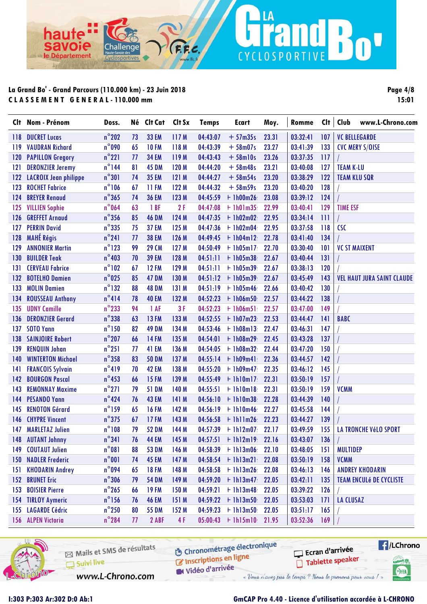ha

avoie

le Département

**Page 4/8 15:01**

n'

| $n^{\circ}$ 202<br><b>33 EM</b><br>117 M<br>04:43:07<br>03:32:41<br><b>VC BELLEGARDE</b><br><b>DUCRET Lucas</b><br>73<br>$+57m35s$<br>23.31<br>107<br>118<br>$n^{\circ}$ 090<br><b>VAUDRAN Richard</b><br><b>10 FM</b><br>118 M<br>04:43:39<br>$+58m07s$<br>133<br>119<br>65<br>23.27<br>03:41:39<br><b>CVC MERY S/OISE</b><br>$n^{\circ}221$<br><b>PAPILLON Gregory</b><br><b>34 EM</b><br>119 M<br>04:43:43<br>$+58$ ml0s<br>120<br>23.26<br>03:37:35<br>117<br>77<br>$n^{\circ}$ 144<br>81<br>120 M<br>23.21<br>127<br><b>DERONZIER Jeremy</b><br><b>45 DM</b><br>04:44:20<br>$+58m48s$<br>03:40:08<br><b>TEAM K-LU</b><br>121<br>$n^{\circ}301$<br><b>LACROIX Jean philippe</b><br><b>35 EM</b><br>121M<br>04:44:27<br>$+58m54s$<br>122<br>122<br>74<br>23.20<br>03:38:29<br><b>TEAM KLU SQR</b><br>$n^{\circ}106$<br><b>ROCHET Fabrice</b><br>123<br><b>11 FM</b><br>122 M<br>04:44:32<br>$+58m59s$<br>23.20<br>03:40:20<br>128<br>67<br>$n^{\circ}365$<br><b>BREYER Renaud</b><br><b>36 EM</b><br>123 M<br>23.08<br>03:39:12<br>124<br>124<br>74<br>04:45:59<br>$+ 1h00m26$<br>$n^{\circ}$ 064<br><b>VILLIEN Sophie</b><br>1BF<br>2F<br>04:47:08<br>$+1h01m35$<br>22.99<br>03:40:41<br>129<br><b>TIME ESF</b><br>125<br>63<br>$n^{\circ}$ 356<br><b>GREFFET Arnaud</b><br>124 M<br>111<br>126<br>85<br><b>46 DM</b><br>04:47:35<br>$+1h02m02$<br>22.95<br>03:34:14<br>$n^{\circ}$ 335<br><b>PERRIN David</b><br>125 M<br>CSC<br>127<br><b>37 EM</b><br>04:47:36<br>$+1h02m04$<br>22.95<br>03:37:58<br>118<br>75<br><b>MAHÉ Régis</b><br>$n^{\circ}241$<br>128<br><b>38 EM</b><br>126 M<br>$+1h04m12$<br>134<br>04:49:45<br>22.78<br>03:41:40<br>77<br>$n^{\circ}$ 123<br>129<br><b>ANNONIER Martin</b><br>99<br><b>29 CM</b><br>127 M<br>$+$ 1h05m17<br>03:30:40<br>101<br><b>VC ST MAIXENT</b><br>04:50:49<br>22.70<br>$n^{\circ}403$<br><b>BUILDER Teak</b><br><b>39 EM</b><br>128 M<br>03:40:44<br>131<br>130<br>70<br>04:51:11<br>$+1h05m38$<br>22.67<br>$n^{\circ}102$<br><b>CERVEAU Fabrice</b><br><b>12 FM</b><br>129 M<br>$+1h05m39$<br>120<br>04:51:11<br>22.67<br>03:38:13<br>131<br>67<br>$n^{\circ}$ 025<br><b>47 DM</b><br>130 M<br>143<br><b>VEL HAUT JURA SAINT CLAUDE</b><br>132<br><b>BOTELHO Damien</b><br>85<br>04:51:12<br>$+1h05m39$<br>22.67<br>03:45:49<br>$n^{\circ}$ 132<br><b>48 DM</b><br>03:40:42<br>130<br>133<br><b>MOLIN Damien</b><br>88<br>131 M<br>04:51:19<br>$+$ 1h05m46<br>22.66<br>$n^{\circ}414$<br>138<br><b>ROUSSEAU Anthony</b><br><b>40 EM</b><br>132 M<br>04:52:23<br>03:44:22<br>134<br>78<br>$+$ 1h06m50<br>22.57 | www.L-Chrono.com |
|-----------------------------------------------------------------------------------------------------------------------------------------------------------------------------------------------------------------------------------------------------------------------------------------------------------------------------------------------------------------------------------------------------------------------------------------------------------------------------------------------------------------------------------------------------------------------------------------------------------------------------------------------------------------------------------------------------------------------------------------------------------------------------------------------------------------------------------------------------------------------------------------------------------------------------------------------------------------------------------------------------------------------------------------------------------------------------------------------------------------------------------------------------------------------------------------------------------------------------------------------------------------------------------------------------------------------------------------------------------------------------------------------------------------------------------------------------------------------------------------------------------------------------------------------------------------------------------------------------------------------------------------------------------------------------------------------------------------------------------------------------------------------------------------------------------------------------------------------------------------------------------------------------------------------------------------------------------------------------------------------------------------------------------------------------------------------------------------------------------------------------------------------------------------------------------------------------------------------------------------------------------------------------------------------------------------------------------------------------------------------------------------------------------------------------------------------------------------------------------------------------------------------------------------------------------------------|------------------|
|                                                                                                                                                                                                                                                                                                                                                                                                                                                                                                                                                                                                                                                                                                                                                                                                                                                                                                                                                                                                                                                                                                                                                                                                                                                                                                                                                                                                                                                                                                                                                                                                                                                                                                                                                                                                                                                                                                                                                                                                                                                                                                                                                                                                                                                                                                                                                                                                                                                                                                                                                                       |                  |
|                                                                                                                                                                                                                                                                                                                                                                                                                                                                                                                                                                                                                                                                                                                                                                                                                                                                                                                                                                                                                                                                                                                                                                                                                                                                                                                                                                                                                                                                                                                                                                                                                                                                                                                                                                                                                                                                                                                                                                                                                                                                                                                                                                                                                                                                                                                                                                                                                                                                                                                                                                       |                  |
|                                                                                                                                                                                                                                                                                                                                                                                                                                                                                                                                                                                                                                                                                                                                                                                                                                                                                                                                                                                                                                                                                                                                                                                                                                                                                                                                                                                                                                                                                                                                                                                                                                                                                                                                                                                                                                                                                                                                                                                                                                                                                                                                                                                                                                                                                                                                                                                                                                                                                                                                                                       |                  |
|                                                                                                                                                                                                                                                                                                                                                                                                                                                                                                                                                                                                                                                                                                                                                                                                                                                                                                                                                                                                                                                                                                                                                                                                                                                                                                                                                                                                                                                                                                                                                                                                                                                                                                                                                                                                                                                                                                                                                                                                                                                                                                                                                                                                                                                                                                                                                                                                                                                                                                                                                                       |                  |
|                                                                                                                                                                                                                                                                                                                                                                                                                                                                                                                                                                                                                                                                                                                                                                                                                                                                                                                                                                                                                                                                                                                                                                                                                                                                                                                                                                                                                                                                                                                                                                                                                                                                                                                                                                                                                                                                                                                                                                                                                                                                                                                                                                                                                                                                                                                                                                                                                                                                                                                                                                       |                  |
|                                                                                                                                                                                                                                                                                                                                                                                                                                                                                                                                                                                                                                                                                                                                                                                                                                                                                                                                                                                                                                                                                                                                                                                                                                                                                                                                                                                                                                                                                                                                                                                                                                                                                                                                                                                                                                                                                                                                                                                                                                                                                                                                                                                                                                                                                                                                                                                                                                                                                                                                                                       |                  |
|                                                                                                                                                                                                                                                                                                                                                                                                                                                                                                                                                                                                                                                                                                                                                                                                                                                                                                                                                                                                                                                                                                                                                                                                                                                                                                                                                                                                                                                                                                                                                                                                                                                                                                                                                                                                                                                                                                                                                                                                                                                                                                                                                                                                                                                                                                                                                                                                                                                                                                                                                                       |                  |
|                                                                                                                                                                                                                                                                                                                                                                                                                                                                                                                                                                                                                                                                                                                                                                                                                                                                                                                                                                                                                                                                                                                                                                                                                                                                                                                                                                                                                                                                                                                                                                                                                                                                                                                                                                                                                                                                                                                                                                                                                                                                                                                                                                                                                                                                                                                                                                                                                                                                                                                                                                       |                  |
|                                                                                                                                                                                                                                                                                                                                                                                                                                                                                                                                                                                                                                                                                                                                                                                                                                                                                                                                                                                                                                                                                                                                                                                                                                                                                                                                                                                                                                                                                                                                                                                                                                                                                                                                                                                                                                                                                                                                                                                                                                                                                                                                                                                                                                                                                                                                                                                                                                                                                                                                                                       |                  |
|                                                                                                                                                                                                                                                                                                                                                                                                                                                                                                                                                                                                                                                                                                                                                                                                                                                                                                                                                                                                                                                                                                                                                                                                                                                                                                                                                                                                                                                                                                                                                                                                                                                                                                                                                                                                                                                                                                                                                                                                                                                                                                                                                                                                                                                                                                                                                                                                                                                                                                                                                                       |                  |
|                                                                                                                                                                                                                                                                                                                                                                                                                                                                                                                                                                                                                                                                                                                                                                                                                                                                                                                                                                                                                                                                                                                                                                                                                                                                                                                                                                                                                                                                                                                                                                                                                                                                                                                                                                                                                                                                                                                                                                                                                                                                                                                                                                                                                                                                                                                                                                                                                                                                                                                                                                       |                  |
|                                                                                                                                                                                                                                                                                                                                                                                                                                                                                                                                                                                                                                                                                                                                                                                                                                                                                                                                                                                                                                                                                                                                                                                                                                                                                                                                                                                                                                                                                                                                                                                                                                                                                                                                                                                                                                                                                                                                                                                                                                                                                                                                                                                                                                                                                                                                                                                                                                                                                                                                                                       |                  |
|                                                                                                                                                                                                                                                                                                                                                                                                                                                                                                                                                                                                                                                                                                                                                                                                                                                                                                                                                                                                                                                                                                                                                                                                                                                                                                                                                                                                                                                                                                                                                                                                                                                                                                                                                                                                                                                                                                                                                                                                                                                                                                                                                                                                                                                                                                                                                                                                                                                                                                                                                                       |                  |
|                                                                                                                                                                                                                                                                                                                                                                                                                                                                                                                                                                                                                                                                                                                                                                                                                                                                                                                                                                                                                                                                                                                                                                                                                                                                                                                                                                                                                                                                                                                                                                                                                                                                                                                                                                                                                                                                                                                                                                                                                                                                                                                                                                                                                                                                                                                                                                                                                                                                                                                                                                       |                  |
|                                                                                                                                                                                                                                                                                                                                                                                                                                                                                                                                                                                                                                                                                                                                                                                                                                                                                                                                                                                                                                                                                                                                                                                                                                                                                                                                                                                                                                                                                                                                                                                                                                                                                                                                                                                                                                                                                                                                                                                                                                                                                                                                                                                                                                                                                                                                                                                                                                                                                                                                                                       |                  |
|                                                                                                                                                                                                                                                                                                                                                                                                                                                                                                                                                                                                                                                                                                                                                                                                                                                                                                                                                                                                                                                                                                                                                                                                                                                                                                                                                                                                                                                                                                                                                                                                                                                                                                                                                                                                                                                                                                                                                                                                                                                                                                                                                                                                                                                                                                                                                                                                                                                                                                                                                                       |                  |
|                                                                                                                                                                                                                                                                                                                                                                                                                                                                                                                                                                                                                                                                                                                                                                                                                                                                                                                                                                                                                                                                                                                                                                                                                                                                                                                                                                                                                                                                                                                                                                                                                                                                                                                                                                                                                                                                                                                                                                                                                                                                                                                                                                                                                                                                                                                                                                                                                                                                                                                                                                       |                  |
| $n^{\circ}$ 233<br>3F<br><b>UDNY Camille</b><br>94<br>1 AF<br>03:47:00<br>135<br>04:52:23<br>$+$ 1h06m51<br>22.57<br>149                                                                                                                                                                                                                                                                                                                                                                                                                                                                                                                                                                                                                                                                                                                                                                                                                                                                                                                                                                                                                                                                                                                                                                                                                                                                                                                                                                                                                                                                                                                                                                                                                                                                                                                                                                                                                                                                                                                                                                                                                                                                                                                                                                                                                                                                                                                                                                                                                                              |                  |
| $n^{\circ}338$<br><b>BABC</b><br><b>DERONZIER Gerard</b><br><b>13 FM</b><br>133 M<br>$+1h07m23$<br>03:44:47<br>136<br>63<br>04:52:55<br>22.53<br>141                                                                                                                                                                                                                                                                                                                                                                                                                                                                                                                                                                                                                                                                                                                                                                                                                                                                                                                                                                                                                                                                                                                                                                                                                                                                                                                                                                                                                                                                                                                                                                                                                                                                                                                                                                                                                                                                                                                                                                                                                                                                                                                                                                                                                                                                                                                                                                                                                  |                  |
| $n^{\circ}$ 150<br><b>SOTO Yann</b><br><b>49 DM</b><br>134 M<br>04:53:46<br>$+1h08m13$<br>147<br>137<br>82<br>22.47<br>03:46:31                                                                                                                                                                                                                                                                                                                                                                                                                                                                                                                                                                                                                                                                                                                                                                                                                                                                                                                                                                                                                                                                                                                                                                                                                                                                                                                                                                                                                                                                                                                                                                                                                                                                                                                                                                                                                                                                                                                                                                                                                                                                                                                                                                                                                                                                                                                                                                                                                                       |                  |
| $n^{\circ}$ 207<br><b>SAINJOIRE Robert</b><br>66<br><b>14 FM</b><br>135 M<br>137<br>138<br>04:54:01<br>$+1h08m29$<br>22.45<br>03:43:28                                                                                                                                                                                                                                                                                                                                                                                                                                                                                                                                                                                                                                                                                                                                                                                                                                                                                                                                                                                                                                                                                                                                                                                                                                                                                                                                                                                                                                                                                                                                                                                                                                                                                                                                                                                                                                                                                                                                                                                                                                                                                                                                                                                                                                                                                                                                                                                                                                |                  |
| $n^{\circ}251$<br><b>41 EM</b><br>136 M<br>03:47:20<br>150<br>139<br><b>RENQUIN Johan</b><br>04:54:05<br>$+1h08m32$<br>22.44<br>77                                                                                                                                                                                                                                                                                                                                                                                                                                                                                                                                                                                                                                                                                                                                                                                                                                                                                                                                                                                                                                                                                                                                                                                                                                                                                                                                                                                                                                                                                                                                                                                                                                                                                                                                                                                                                                                                                                                                                                                                                                                                                                                                                                                                                                                                                                                                                                                                                                    |                  |
| $n^{\circ}$ 358<br><b>WINTERTON Michael</b><br>137 M<br>$+$ 1h09m41<br>142<br>83<br><b>50 DM</b><br>04:55:14<br>22.36<br>03:44:57<br>140                                                                                                                                                                                                                                                                                                                                                                                                                                                                                                                                                                                                                                                                                                                                                                                                                                                                                                                                                                                                                                                                                                                                                                                                                                                                                                                                                                                                                                                                                                                                                                                                                                                                                                                                                                                                                                                                                                                                                                                                                                                                                                                                                                                                                                                                                                                                                                                                                              |                  |
| $n^{\circ}419$<br><b>42 EM</b><br>138 M<br>$+1h09m47$<br>03:46:12<br>145<br>141<br><b>FRANCOIS Sylvain</b><br>70<br>04:55:20<br>22.35                                                                                                                                                                                                                                                                                                                                                                                                                                                                                                                                                                                                                                                                                                                                                                                                                                                                                                                                                                                                                                                                                                                                                                                                                                                                                                                                                                                                                                                                                                                                                                                                                                                                                                                                                                                                                                                                                                                                                                                                                                                                                                                                                                                                                                                                                                                                                                                                                                 |                  |
| $n^{\circ}$ 453<br><b>BOURGON Pascal</b><br><b>15 FM</b><br>139 M<br>22.31<br>03:50:19<br>157<br>142<br>04:55:49<br>$+1h10m17$<br>66                                                                                                                                                                                                                                                                                                                                                                                                                                                                                                                                                                                                                                                                                                                                                                                                                                                                                                                                                                                                                                                                                                                                                                                                                                                                                                                                                                                                                                                                                                                                                                                                                                                                                                                                                                                                                                                                                                                                                                                                                                                                                                                                                                                                                                                                                                                                                                                                                                  |                  |
| $n^{\circ}$ 271<br>140 M<br>159<br><b>VCMM</b><br>143<br><b>REMONNAY Maxime</b><br>79<br><b>51 DM</b><br>04:55:51<br>$+1h10m18$<br>22.31<br>03:50:19                                                                                                                                                                                                                                                                                                                                                                                                                                                                                                                                                                                                                                                                                                                                                                                                                                                                                                                                                                                                                                                                                                                                                                                                                                                                                                                                                                                                                                                                                                                                                                                                                                                                                                                                                                                                                                                                                                                                                                                                                                                                                                                                                                                                                                                                                                                                                                                                                  |                  |
| $n^{\circ}$ 424<br>144<br><b>PESANDO Yann</b><br><b>43 EM</b><br>141 M<br>22.28<br>140<br>76<br>04:56:10<br>$+1h10m38$<br>03:44:39                                                                                                                                                                                                                                                                                                                                                                                                                                                                                                                                                                                                                                                                                                                                                                                                                                                                                                                                                                                                                                                                                                                                                                                                                                                                                                                                                                                                                                                                                                                                                                                                                                                                                                                                                                                                                                                                                                                                                                                                                                                                                                                                                                                                                                                                                                                                                                                                                                    |                  |
| $n^{\circ}$ 159<br><b>RENOTON Gérard</b><br><b>16 FM</b><br>142 M<br>$+1h10m46$<br>22.27<br>144<br>145<br>04:56:19<br>03:45:58<br>65                                                                                                                                                                                                                                                                                                                                                                                                                                                                                                                                                                                                                                                                                                                                                                                                                                                                                                                                                                                                                                                                                                                                                                                                                                                                                                                                                                                                                                                                                                                                                                                                                                                                                                                                                                                                                                                                                                                                                                                                                                                                                                                                                                                                                                                                                                                                                                                                                                  |                  |
| $n^{\circ}375$<br><b>CHYPRE Vincent</b><br><b>17 FM</b><br>143 M<br>04:56:58<br>$+1h11m26$<br>22.23<br>03:44:27<br>139<br>146<br>67                                                                                                                                                                                                                                                                                                                                                                                                                                                                                                                                                                                                                                                                                                                                                                                                                                                                                                                                                                                                                                                                                                                                                                                                                                                                                                                                                                                                                                                                                                                                                                                                                                                                                                                                                                                                                                                                                                                                                                                                                                                                                                                                                                                                                                                                                                                                                                                                                                   |                  |
| $n^{\circ}108$<br><b>52 DM</b><br>144 M<br>155<br>LA TRONCHE VéLO SPORT<br>147<br><b>MARLETAZ Julien</b><br>79<br>$04:57:39$ + 1h12m07<br>22.17<br>03:49:59                                                                                                                                                                                                                                                                                                                                                                                                                                                                                                                                                                                                                                                                                                                                                                                                                                                                                                                                                                                                                                                                                                                                                                                                                                                                                                                                                                                                                                                                                                                                                                                                                                                                                                                                                                                                                                                                                                                                                                                                                                                                                                                                                                                                                                                                                                                                                                                                           |                  |
| $n^{\circ}341$<br>76 44 EM 145 M<br>$04:57:51$ + 1h12m19 22.16<br>$03:43:07$ 136<br>148 AUTANT Johnny<br>$\mathbf{I}$                                                                                                                                                                                                                                                                                                                                                                                                                                                                                                                                                                                                                                                                                                                                                                                                                                                                                                                                                                                                                                                                                                                                                                                                                                                                                                                                                                                                                                                                                                                                                                                                                                                                                                                                                                                                                                                                                                                                                                                                                                                                                                                                                                                                                                                                                                                                                                                                                                                 |                  |
| $n^{\circ}081$<br><b>COUTAUT Julien</b><br><b>53 DM</b><br>146 M<br>$+$ 1h13m06<br>22.10<br>03:48:05<br>151<br><b>MULTIDEP</b><br>149<br>88<br>04:58:39                                                                                                                                                                                                                                                                                                                                                                                                                                                                                                                                                                                                                                                                                                                                                                                                                                                                                                                                                                                                                                                                                                                                                                                                                                                                                                                                                                                                                                                                                                                                                                                                                                                                                                                                                                                                                                                                                                                                                                                                                                                                                                                                                                                                                                                                                                                                                                                                               |                  |
| $n^{\circ}001$<br><b>NADLER Frederic</b><br><b>45 EM</b><br><b>VCMM</b><br>150 <sub>1</sub><br>147 M<br>$04:58:54$ + 1h13m21<br>22.08<br>03:50:19<br>158<br>74                                                                                                                                                                                                                                                                                                                                                                                                                                                                                                                                                                                                                                                                                                                                                                                                                                                                                                                                                                                                                                                                                                                                                                                                                                                                                                                                                                                                                                                                                                                                                                                                                                                                                                                                                                                                                                                                                                                                                                                                                                                                                                                                                                                                                                                                                                                                                                                                        |                  |
| $n^{\circ}$ 094<br><b>18 FM</b><br>148 M<br>$+1h13m26$<br>03:46:13<br><b>ANDREY KHODARIN</b><br><b>KHODARIN Andrey</b><br>04:58:58<br>22.08<br>146<br>151<br>65                                                                                                                                                                                                                                                                                                                                                                                                                                                                                                                                                                                                                                                                                                                                                                                                                                                                                                                                                                                                                                                                                                                                                                                                                                                                                                                                                                                                                                                                                                                                                                                                                                                                                                                                                                                                                                                                                                                                                                                                                                                                                                                                                                                                                                                                                                                                                                                                       |                  |
| $n^{\circ}$ 306<br><b>152 BRUNET Eric</b><br>$+1h13m47$<br>03:42:11<br><b>54 DM</b><br>149 M<br>04:59:20<br>22.05<br>135<br><b>TEAM ENCULÉ DE CYCLISTE</b><br>79                                                                                                                                                                                                                                                                                                                                                                                                                                                                                                                                                                                                                                                                                                                                                                                                                                                                                                                                                                                                                                                                                                                                                                                                                                                                                                                                                                                                                                                                                                                                                                                                                                                                                                                                                                                                                                                                                                                                                                                                                                                                                                                                                                                                                                                                                                                                                                                                      |                  |
| $n^{\circ}$ 265<br>153<br><b>19 FM</b><br>150 M<br><b>BOISIER Pierre</b><br>04:59:21<br>$+1h13m48$<br>22.05<br>03:39:22<br>126<br>66                                                                                                                                                                                                                                                                                                                                                                                                                                                                                                                                                                                                                                                                                                                                                                                                                                                                                                                                                                                                                                                                                                                                                                                                                                                                                                                                                                                                                                                                                                                                                                                                                                                                                                                                                                                                                                                                                                                                                                                                                                                                                                                                                                                                                                                                                                                                                                                                                                  |                  |
| $n^{\circ}$ 156<br>$+1h13m50$<br><b>TIRLOY Aymeric</b><br><b>46 EM</b><br>151 M<br>04:59:22<br>22.05<br>03:53:03<br>171<br><b>LA CLUSAZ</b><br>154<br>76                                                                                                                                                                                                                                                                                                                                                                                                                                                                                                                                                                                                                                                                                                                                                                                                                                                                                                                                                                                                                                                                                                                                                                                                                                                                                                                                                                                                                                                                                                                                                                                                                                                                                                                                                                                                                                                                                                                                                                                                                                                                                                                                                                                                                                                                                                                                                                                                              |                  |
| <b>LAGARDE Cédric</b><br>$n^{\circ}$ 250<br><b>55 DM</b><br>152 M<br>04:59:23<br>$+1h13m50$<br>22.05<br>03:51:17<br>155<br>80<br>165                                                                                                                                                                                                                                                                                                                                                                                                                                                                                                                                                                                                                                                                                                                                                                                                                                                                                                                                                                                                                                                                                                                                                                                                                                                                                                                                                                                                                                                                                                                                                                                                                                                                                                                                                                                                                                                                                                                                                                                                                                                                                                                                                                                                                                                                                                                                                                                                                                  |                  |
| $n^{\circ}284$<br>156 ALPEN Victoria<br>4F<br>$05:00:43 + 1h15m10$<br>03:52:36<br>2 ABF<br>77<br>21.95<br>169                                                                                                                                                                                                                                                                                                                                                                                                                                                                                                                                                                                                                                                                                                                                                                                                                                                                                                                                                                                                                                                                                                                                                                                                                                                                                                                                                                                                                                                                                                                                                                                                                                                                                                                                                                                                                                                                                                                                                                                                                                                                                                                                                                                                                                                                                                                                                                                                                                                         |                  |

LA

CYCLOSPORTIVE

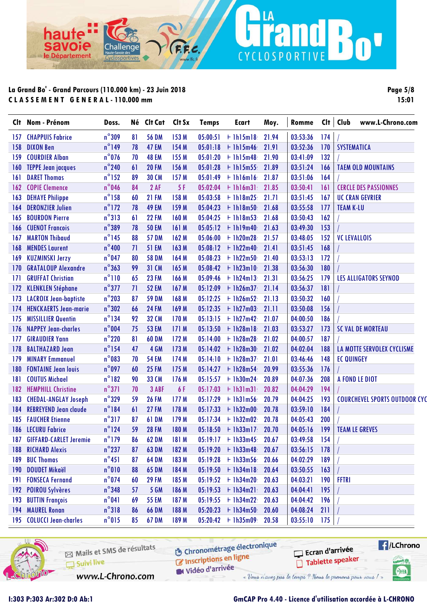Cha

ha

avoie

le Département

n

| Clt              | Nom - Prénom                 | Doss.           |    | Né Clt Cat   | Clt Sx       | <b>Temps</b> | <b>Ecart</b>         | Moy.  | Romme    |     | Clt   Club          | www.L-Chrono.com                     |  |
|------------------|------------------------------|-----------------|----|--------------|--------------|--------------|----------------------|-------|----------|-----|---------------------|--------------------------------------|--|
| 157              | <b>CHAPPUIS Fabrice</b>      | $n^{\circ}309$  | 81 | <b>56 DM</b> | 153 M        | 05:00:51     | $+$ 1h15m18          | 21.94 | 03:53:36 | 174 |                     |                                      |  |
| 158              | <b>DIXON Ben</b>             | $n^{\circ}$ 149 | 78 | <b>47 EM</b> | 154 M        | 05:01:18     | $+$ 1h15m46          | 21.91 | 03:52:36 | 170 | <b>SYSTEMATICA</b>  |                                      |  |
| 159              | <b>COURDIER Alban</b>        | $n^{\circ}$ 076 | 70 | <b>48 EM</b> | 155 M        | 05:01:20     | $+$ 1h15m48          | 21.90 | 03:41:09 | 132 |                     |                                      |  |
| 160              | <b>TEPPE Jean jacques</b>    | $n^{\circ}$ 240 | 61 | <b>20 FM</b> | 156 M        | 05:01:28     | $+$ 1h15m55          | 21.89 | 03:51:24 | 166 |                     | <b>TAEM OLD MOUNTAINS</b>            |  |
| 161              | <b>DARET Thomas</b>          | $n^{\circ}$ 152 | 89 | <b>30 CM</b> | 157 M        | 05:01:49     | $+$ 1h16m16          | 21.87 | 03:51:06 | 164 |                     |                                      |  |
| 162              | <b>COPIE Clemence</b>        | $n^{\circ}046$  | 84 | 2AF          | 5 F          | 05:02:04     | $+$ 1h16m31          | 21.85 | 03:50:41 | 161 |                     | <b>CERCLE DES PASSIONNES</b>         |  |
| 163              | <b>DEHAYE Philippe</b>       | $n^{\circ}$ 158 | 60 | <b>21 FM</b> | 158 M        | 05:03:58     | $+$ 1h18m25          | 21.71 | 03:51:45 | 167 |                     | <b>UC CRAN GEVRIER</b>               |  |
| 164              | <b>DERONZIER Julien</b>      | $n^{\circ}$ 172 | 78 | <b>49 EM</b> | 159 M        | 05:04:23     | $+1h18m50$           | 21.68 | 03:55:58 | 177 | <b>TEAM K-LU</b>    |                                      |  |
| 165              | <b>BOURDON Pierre</b>        | $n^{\circ}313$  | 61 | <b>22 FM</b> | 160 M        | 05:04:25     | $+1h18m53$           | 21.68 | 03:50:43 | 162 |                     |                                      |  |
| 166              | <b>CUENOT Francois</b>       | $n^{\circ}389$  | 78 | <b>50 EM</b> | 161 M        | 05:05:12     | $+$ 1h19m40          | 21.63 | 03:49:30 | 153 |                     |                                      |  |
| 167              | <b>MARTON Thibaud</b>        | $n^{\circ}$ 145 | 88 | <b>57 DM</b> | 162 M        | 05:06:00     | $+1h20m28$           | 21.57 | 03:48:05 | 152 | <b>VC LEVALLOIS</b> |                                      |  |
| 168              | <b>MENDES Laurent</b>        | $n^{\circ}400$  | 71 | <b>51 EM</b> | 163 M        | 05:08:12     | $+$ 1h22m40          | 21.41 | 03:51:45 | 168 |                     |                                      |  |
| 169              | <b>KUZMINSKI Jerzy</b>       | $n^{\circ}$ 047 | 80 | <b>58 DM</b> | 164 M        | 05:08:23     | $+$ 1h22m50          | 21.40 | 03:53:13 | 172 |                     |                                      |  |
| 170              | <b>GRATALOUP Alexandre</b>   | $n^{\circ}363$  | 99 | <b>31 CM</b> | 165 M        | 05:08:42     | $+$ 1h23m10          | 21.38 | 03:56:30 | 180 |                     |                                      |  |
| 171              | <b>GRUFFAT Christian</b>     | $n^{\circ}110$  | 65 | <b>23 FM</b> | 166 M        | 05:09:46     | $+$ 1h24m13          | 21.31 | 03:56:25 | 179 |                     | <b>LES ALLIGATORS SEYNOD</b>         |  |
| 172              | <b>KLENKLEN Stéphane</b>     | $n^{\circ}377$  | 71 | <b>52 EM</b> | 167 M        | 05:12:09     | $+$ 1h26m37          | 21.14 | 03:56:37 | 181 |                     |                                      |  |
| 173              | <b>LACROIX Jean-baptiste</b> | $n^{\circ}$ 203 | 87 | <b>59 DM</b> | 168 M        | 05:12:25     | $+$ 1h26m52          | 21.13 | 03:50:32 | 160 |                     |                                      |  |
| 174              | <b>HENCKAERTS Jean-marie</b> | $n^{\circ}302$  | 66 | <b>24 FM</b> | 169 M        | 05:12:35     | $+$ 1h27m03          | 21.11 | 03:50:08 | 156 |                     |                                      |  |
| 175              | <b>MISSILLIER Quentin</b>    | $n^{\circ}$ 134 | 92 | <b>32 CM</b> | 170 M        | 05:13:15     | $+$ 1h27m42          | 21.07 | 04:00:50 | 186 |                     |                                      |  |
| 176              | <b>NAPPEY Jean-charles</b>   | $n^{\circ}$ 004 | 75 | <b>53 EM</b> | 171 M        | 05:13:50     | $+1h28m18$           | 21.03 | 03:53:27 | 173 |                     | <b>SC VAL DE MORTEAU</b>             |  |
| 177              | <b>GIRAUDIER Yann</b>        | $n^{\circ}$ 220 | 81 | <b>60 DM</b> | 172 M        | 05:14:00     | $+$ 1h28m28          | 21.02 | 04:00:57 | 187 |                     |                                      |  |
| 178              | <b>BALTHAZARD Jean</b>       | $n^{\circ}$ 154 | 47 | 4 GM         | 173 M        | 05:14:02     | $+1h28m30$           | 21.02 | 04:02:04 | 188 |                     | LA MOTTE SERVOLEX CYCLISME           |  |
| 179              | <b>MINARY Emmanuel</b>       | $n^{\circ}083$  | 70 | <b>54 EM</b> | 174 M        | 05:14:10     | $+1h28m37$           | 21.01 | 03:46:46 | 148 | <b>EC QUINGEY</b>   |                                      |  |
| 180              | <b>FONTAINE Jean louis</b>   | $n^{\circ}$ 097 | 60 | <b>25 FM</b> | 175 M        |              | $05:14:27$ + 1h28m54 | 20.99 | 03:55:36 | 176 |                     |                                      |  |
| 181              | <b>COUTUS Michael</b>        | $n^{\circ}182$  | 90 | <b>33 CM</b> | 176 M        | 05:15:57     | $+1h30m24$           | 20.89 | 04:07:36 | 208 |                     | A FOND LE DIOT                       |  |
| 182              | <b>HEMPHILL Christine</b>    | $n^{\circ}371$  | 70 | 3 ABF        | 6 F          | 05:17:03     | $+$ 1h31m31          | 20.82 | 04:04:29 | 194 |                     |                                      |  |
| 183              | <b>CHEDAL-ANGLAY Joseph</b>  | $n^{\circ}329$  | 59 | <b>26 FM</b> | 177 M        | 05:17:29     | $+$ 1h31m56          | 20.79 | 04:04:25 | 193 |                     | <b>COURCHEVEL SPORTS OUTDOOR CYC</b> |  |
| 184              | <b>REBREYEND Jean claude</b> | $n^{\circ}184$  | 61 | <b>27 FM</b> | 178 M        | 05:17:33     | $+1h32m00$           | 20.78 | 03:59:10 | 184 |                     |                                      |  |
| 185              | <b>FAUCHER Etienne</b>       | $n^{\circ}317$  | 87 | <b>61 DM</b> | 179 M        | 05:17:34     | $+$ 1h32m02          | 20.78 | 04:05:43 | 200 |                     |                                      |  |
| 186              | <b>LECURU Fabrice</b>        | $n^{\circ}$ 124 | 59 | <b>28 FM</b> | 180 M        |              | $05:18:50 + 1h33m17$ | 20.70 | 04:05:16 | 199 |                     | <b>TEAM LE GREVES</b>                |  |
|                  | 187 GIFFARD-CARLET Jeremie   | $n^{\circ}$ 179 | 86 | <b>62 DM</b> | <b>181 M</b> |              | $05:19:17 + 1h33m45$ | 20.67 | 03:49:58 | 154 |                     |                                      |  |
| 188              | <b>RICHARD Alexis</b>        | $n^{\circ}$ 237 | 87 | <b>63 DM</b> | 182 M        | 05:19:20     | $+$ 1h33m48          | 20.67 | 03:56:15 | 178 |                     |                                      |  |
| 189              | <b>BUC Thomas</b>            | $n^{\circ}451$  | 87 | <b>64 DM</b> | 183 M        | 05:19:28     | $+1h33m56$           | 20.66 | 04:02:29 | 189 |                     |                                      |  |
| 190 <sub>1</sub> | <b>DOUDET Mikaël</b>         | $n^{\circ}010$  | 88 | <b>65 DM</b> | 184 M        |              | $05:19:50 + 1h34m18$ | 20.64 | 03:50:55 | 163 |                     |                                      |  |
| 191              | <b>FONSECA Fernand</b>       | $n^{\circ}$ 074 | 60 | <b>29 FM</b> | 185 M        | 05:19:52     | $+1h34m20$           | 20.63 | 04:03:21 | 190 | <b>FFTRI</b>        |                                      |  |
| 192              | <b>POIROU Sylvères</b>       | $n^{\circ}$ 348 | 57 | <b>5 GM</b>  | 186 M        |              | $05:19:53 + 1h34m21$ | 20.63 | 04:04:41 | 195 |                     |                                      |  |
| 193              | <b>BUTTIN François</b>       | $n^{\circ}041$  | 69 | <b>55 EM</b> | 187 M        | 05:19:55     | $+1h34m22$           | 20.63 | 04:04:42 | 196 |                     |                                      |  |
| 194              | <b>MAUREL Ronan</b>          | $n^{\circ}318$  | 86 | <b>66 DM</b> | 188 M        | 05:20:23     | $+$ 1h34m50          | 20.60 | 04:08:24 | 211 |                     |                                      |  |
|                  | 195 COLUCCI Jean-charles     | $n^{\circ}015$  | 85 | <b>67 DM</b> | 189 M        |              | $05:20:42 + 1h35m09$ | 20.58 | 03:55:10 | 175 |                     |                                      |  |

LA

CYCLOSPORTIVE



### GmCAP Pro 4.40 - Licence d'utilisation accordée à L-CHRONO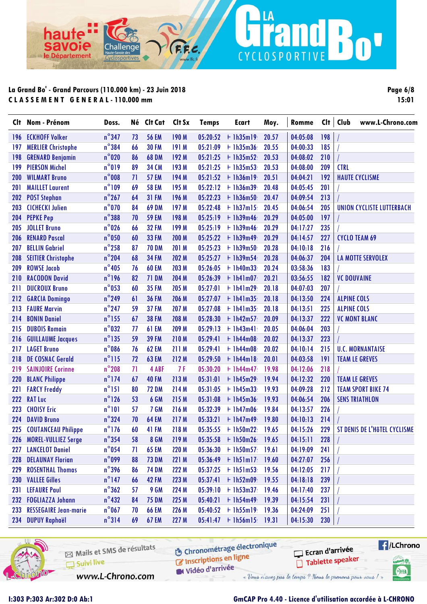ha

avoie

le Département

| <b>Page 6/8</b> |       |
|-----------------|-------|
|                 | 15:01 |

Boy

|            | Clt Nom - Prénom             | Doss.           |    | Né Clt Cat   | Clt Sx | <b>Temps</b> | Ecart                | Moy.  | Romme    | Cl <sub>†</sub> | Club<br>www.L-Chrono.com     |
|------------|------------------------------|-----------------|----|--------------|--------|--------------|----------------------|-------|----------|-----------------|------------------------------|
| 196        | <b>ECKHOFF Volker</b>        | $n^{\circ}$ 347 | 73 | <b>56 EM</b> | 190 M  | 05:20:52     | $+$ 1h35m19          | 20.57 | 04:05:08 | 198             |                              |
| 197        | <b>MERLIER Christophe</b>    | $n^{\circ}$ 384 | 66 | <b>30 FM</b> | 191 M  | 05:21:09     | $+1h35m36$           | 20.55 | 04:00:33 | 185             |                              |
| 198        | <b>GRENARD Benjamin</b>      | $n^{\circ}020$  | 86 | <b>68 DM</b> | 192 M  | 05:21:25     | $+1h35m52$           | 20.53 | 04:08:02 | 210             |                              |
| 199        | <b>PIERSON Michel</b>        | $n^{\circ}019$  | 89 | <b>34 CM</b> | 193 M  | 05:21:25     | $+1h35m53$           | 20.53 | 04:08:00 | 209             | <b>CTRL</b>                  |
| 200        | <b>WILMART Bruno</b>         | $n^{\circ}008$  | 71 | <b>57 EM</b> | 194 M  | 05:21:52     | $+1h36m19$           | 20.51 | 04:04:21 | 192             | <b>HAUTE CYCLISME</b>        |
| 201        | <b>MAILLET Laurent</b>       | $n^{\circ}109$  | 69 | <b>58 EM</b> | 195 M  | 05:22:12     | $+1h36m39$           | 20.48 | 04:05:45 | 201             |                              |
| 202        | <b>POST Stephan</b>          | $n^{\circ}$ 267 | 64 | <b>31 FM</b> | 196 M  | 05:22:23     | $+1h36m50$           | 20.47 | 04:09:54 | 213             |                              |
| 203        | <b>CICHECKI Julien</b>       | $n^{\circ}$ 070 | 84 | <b>69 DM</b> | 197 M  | 05:22:48     | $+1h37m15$           | 20.45 | 04:06:54 | 205             | UNION CYCLISTE LUTTERBACH    |
| 204        | <b>PEPKE Pep</b>             | $n^{\circ}$ 388 | 70 | <b>59 EM</b> | 198 M  | 05:25:19     | $+1h39m46$           | 20.29 | 04:05:00 | 197             |                              |
| 205        | <b>JOLLET Bruno</b>          | $n^{\circ}$ 026 | 66 | <b>32 FM</b> | 199 M  | 05:25:19     | $+1h39m46$           | 20.29 | 04:17:27 | 235             |                              |
| 206        | <b>RENARD Pascal</b>         | $n^{\circ}$ 050 | 60 | <b>33 FM</b> | 200 M  | 05:25:22     | $+$ 1h39m49          | 20.29 | 04:14:57 | 227             | <b>CYCLO TEAM 69</b>         |
| 207        | <b>BELLIN Gabriel</b>        | $n^{\circ}$ 258 | 87 | <b>70 DM</b> | 201 M  | 05:25:23     | $+1h39m50$           | 20.28 | 04:10:18 | 216             |                              |
| 208        | <b>SEITIER Christophe</b>    | $n^{\circ}$ 204 | 68 | <b>34 FM</b> | 202 M  | 05:25:27     | $+1h39m54$           | 20.28 | 04:06:37 | 204             | <b>LA MOTTE SERVOLEX</b>     |
| 209        | <b>ROWSE Jacob</b>           | $n^{\circ}$ 405 | 76 | <b>60 EM</b> | 203 M  | 05:26:05     | $+1h40m33$           | 20.24 | 03:58:36 | 183             |                              |
| 210        | <b>RACODON David</b>         | $n^{\circ}$ 196 | 82 | <b>71 DM</b> | 204 M  | 05:26:39     | $+$ 1h41m07          | 20.21 | 03:56:55 | 182             | <b>VC DOUVAINE</b>           |
| 211        | <b>DUCROUX Bruno</b>         | $n^{\circ}$ 053 | 60 | <b>35 FM</b> | 205 M  | 05:27:01     | $+$ 1h41m29          | 20.18 | 04:07:03 | 207             |                              |
| 212        | <b>GARCIA Domingo</b>        | $n^{\circ}$ 249 | 61 | <b>36 FM</b> | 206 M  | 05:27:07     | $+$ 1h41m35          | 20.18 | 04:13:50 | 224             | <b>ALPINE COLS</b>           |
| 213        | <b>FAURE Marvin</b>          | $n^{\circ}$ 247 | 59 | <b>37 FM</b> | 207 M  | 05:27:08     | $+1h41m35$           | 20.18 | 04:13:51 | 225             | <b>ALPINE COLS</b>           |
| 214        | <b>BONIN Daniel</b>          | $n^{\circ}$ 155 | 67 | <b>38 FM</b> | 208 M  | 05:28:30     | $+$ 1h42m57          | 20.09 | 04:13:37 | 222             | <b>VC MONT BLANC</b>         |
| 215        | <b>DUBOIS Romain</b>         | $n^{\circ}$ 032 | 77 | <b>61 EM</b> | 209 M  | 05:29:13     | $+$ 1h43m41          | 20.05 | 04:06:04 | 203             |                              |
| 216        | <b>GUILLAUME Jacques</b>     | $n^{\circ}$ 135 | 59 | <b>39 FM</b> | 210 M  | 05:29:41     | $+$ 1h44m08          | 20.02 | 04:13:37 | 223             |                              |
| 217        | <b>LAGET Bruno</b>           | $n^{\circ}$ 086 | 76 | <b>62 EM</b> | 211 M  | 05:29:41     | $+1h44m08$           | 20.02 | 04:10:14 | 215             | <b>U.C. MORNANTAISE</b>      |
| 218        | <b>DE COSNAC Gerald</b>      | $n^{\circ}115$  | 72 | <b>63 EM</b> | 212 M  | 05:29:50     | $+$ 1h44m18          | 20.01 | 04:03:58 | 191             | <b>TEAM LE GREVES</b>        |
| 219        | <b>SAINJOIRE Corinne</b>     | $n^{\circ}$ 208 | 71 | 4 ABF        | 7 F    | 05:30:20     | $+ 1h44m47$          | 19.98 | 04:12:06 | 218             |                              |
| <b>220</b> | <b>BLANC Philippe</b>        | $n^{\circ}$ 174 | 67 | <b>40 FM</b> | 213 M  | 05:31:01     | $+$ 1h45m29          | 19.94 | 04:12:32 | 220             | <b>TEAM LE GREVES</b>        |
| 221        | <b>FARCY Freddy</b>          | $n^{\circ}$ 151 | 80 | <b>72 DM</b> | 214 M  | 05:31:05     | $+1h45m33$           | 19.93 | 04:09:28 | 212             | <b>TEAM SPORT BIKE 74</b>    |
| 222        | <b>RAT Luc</b>               | $n^{\circ}$ 126 | 53 | 6 GM         | 215 M  | 05:31:08     | $+$ 1h45m36          | 19.93 | 04:06:54 | 206             | <b>SENS TRIATHLON</b>        |
| 223        | <b>CHOISY Eric</b>           | $n^{\circ}101$  | 57 | 7 GM         | 216 M  | 05:32:39     | $+$ 1h47m06          | 19.84 | 04:13:57 | 226             |                              |
| 224        | <b>DAVID Bruno</b>           | $n^{\circ}324$  | 70 | <b>64 EM</b> | 217 M  | 05:33:21     | $+$ 1h47m49          | 19.80 | 04:10:13 | 214             |                              |
|            | 225 COUTANCEAU Philippe      | $n^{\circ}$ 176 | 60 | <b>41 FM</b> | 218 M  |              | $05:35:55$ + 1h50m22 | 19.65 | 04:15:26 | 229             | ST DENIS DE L'HÔTEL CYCLISME |
| 226        | MOREL-VULLIEZ Serge          | $n^{\circ}$ 354 | 58 | <b>8 GM</b>  | 219 M  |              | $05:35:58$ + 1h50m26 | 19.65 | 04:15:11 | 228             |                              |
| 227        | <b>LANCELOT Daniel</b>       | $n^{\circ}$ 054 | 71 | <b>65 EM</b> | 220 M  | 05:36:30     | $+1h50m57$           | 19.61 | 04:19:09 | 241             |                              |
| 228        | <b>DELAUNAY Florian</b>      | $n^{\circ}$ 099 | 88 | <b>73 DM</b> | 221 M  | 05:36:49     | $+1h51m17$           | 19.60 | 04:27:07 | 256             |                              |
| 229        | <b>ROSENTHAL Thomas</b>      | $n^{\circ}$ 396 | 86 | <b>74 DM</b> | 222 M  |              | $05:37:25$ + lh51m53 | 19.56 | 04:12:05 | 217             |                              |
|            | 230 VALLEE Gilles            | $n^{\circ}$ 147 | 66 | <b>42 FM</b> | 223 M  | 05:37:41     | $+1h52m09$           | 19.55 | 04:18:18 | 239             |                              |
| 231        | <b>LEFAURE Paul</b>          | $n^{\circ}362$  | 57 | 9 GM         | 224 M  | 05:39:10     | $+1h53m37$           | 19.46 | 04:17:40 | 237             |                              |
|            | 232 FOGLIAZZA Johann         | $n^{\circ}$ 432 | 84 | <b>75 DM</b> | 225 M  | 05:40:21     | $+$ 1h54m49          | 19.39 | 04:15:54 | 231             |                              |
| 233        | <b>RESSEGAIRE Jean-marie</b> | $n^{\circ}$ 067 | 70 | <b>66 EM</b> | 226 M  | 05:40:52     | $+1h55m19$           | 19.36 | 04:24:09 | 251             |                              |
|            | 234 DUPUY Raphaël            | $n^{\circ}314$  | 69 | <b>67 EM</b> | 227 M  |              | $05:41:47$ + lh56m15 | 19.31 | 04:15:30 | 230             |                              |
|            |                              |                 |    |              |        |              |                      |       |          |                 |                              |

LA

CYCLOSPORTIVE



### **GmCAP Pro 4.40 - Licence d'utilisation accordée à L-CHRONO**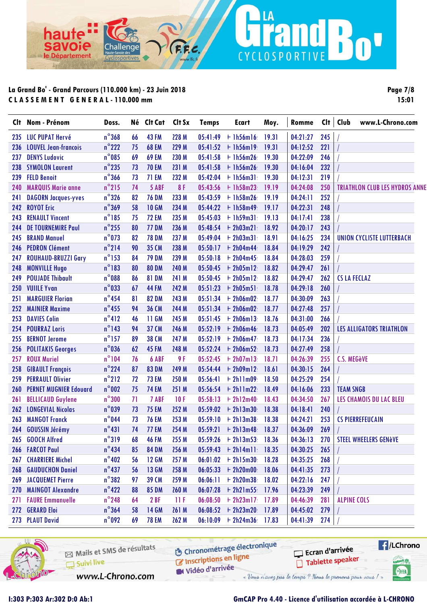hau

savoie

le Département

**Page 7/8 15:01**

Bo'

|            | Clt Nom - Prénom              | Doss.           |                       | Né Clt Cat Clt Sx |       | <b>Temps</b> | Ecart                | Moy.  | Romme    |     | Clt   Club          | www.L-Chrono.com                      |
|------------|-------------------------------|-----------------|-----------------------|-------------------|-------|--------------|----------------------|-------|----------|-----|---------------------|---------------------------------------|
|            | 235 LUC PUPAT Hervé           | $n^{\circ}368$  | 66                    | <b>43 FM</b>      | 228 M |              | $05:41:49$ + lh56ml6 | 19.31 | 04:21:27 | 245 |                     |                                       |
| 236        | <b>LOUVEL Jean-francois</b>   | $n^{\circ}$ 222 | 75                    | <b>68 EM</b>      | 229 M |              | $05:41:52 + 1h56m19$ | 19.31 | 04:12:52 | 221 |                     |                                       |
| 237        | <b>DENYS Ludovic</b>          | $n^{\circ}$ 085 | 69                    | <b>69 EM</b>      | 230 M | 05:41:58     | $+1h56m26$           | 19.30 | 04:22:09 | 246 |                     |                                       |
| 238        | <b>SYMOLON Laurent</b>        | $n^{\circ}$ 235 | 73                    | <b>70 EM</b>      | 231 M | 05:41:58     | $+$ 1h56m26          | 19.30 | 04:16:04 | 232 |                     |                                       |
| 239        | <b>FELD Benoit</b>            | $n^{\circ}$ 366 | 73                    | <b>71 EM</b>      | 232 M | 05:42:04     | $+1h56m31$           | 19.30 | 04:12:31 | 219 |                     |                                       |
| 240        | <b>MARQUIS Marie anne</b>     | $n^{\circ}$ 215 | 74                    | 5 ABF             | 8F    |              | $05:43:56$ + 1h58m23 | 19.19 | 04:24:08 | 250 |                     | <b>TRIATHLON CLUB LES HYDROS ANNE</b> |
| 241        | <b>DAGORN Jacques-yves</b>    | $n^{\circ}326$  | 82                    | <b>76 DM</b>      | 233 M | 05:43:59     | $+1h58m26$           | 19.19 | 04:24:11 | 252 |                     |                                       |
| 242        | <b>ROYOT Eric</b>             | $n^{\circ}369$  | 58                    | <b>10 GM</b>      | 234 M |              | $05:44:22 + 1h58m49$ | 19.17 | 04:22:31 | 248 |                     |                                       |
| 243        | <b>RENAULT Vincent</b>        | $n^{\circ}$ 185 | 75                    | <b>72 EM</b>      | 235 M |              | $05:45:03$ + lh59m31 | 19.13 | 04:17:41 | 238 |                     |                                       |
| 244        | <b>DE TOURNEMIRE Paul</b>     | $n^{\circ}$ 255 | 80                    | <b>77 DM</b>      | 236 M | 05:48:54     | $+ 2h03m21$          | 18.92 | 04:20:17 | 243 |                     |                                       |
| 245        | <b>BRAND Manuel</b>           | $n^{\circ}$ 073 | 82                    | <b>78 DM</b>      | 237 M | 05:49:04     | $+ 2h03m31$          | 18.91 | 04:16:25 | 234 |                     | UNION CYCLISTE LUTTERBACH             |
| 246        | <b>PEDRON Clément</b>         | $n^{\circ}$ 214 | 90                    | <b>35 CM</b>      | 238 M |              | $05:50:17 + 2h04m44$ | 18.84 | 04:19:29 | 242 |                     |                                       |
| 247        | <b>ROUHAUD-BRUZZI Gary</b>    | $n^{\circ}$ 153 | 84                    | <b>79 DM</b>      | 239 M | 05:50:18     | $+ 2h04m45$          | 18.84 | 04:28:03 | 259 |                     |                                       |
| 248        | <b>MONVILLE Hugo</b>          | $n^{\circ}183$  | 80                    | <b>80 DM</b>      | 240 M |              | $05:50:45$ + 2h05m12 | 18.82 | 04:29:47 | 261 |                     |                                       |
| 249        | <b>POUJADE Thibault</b>       | $n^{\circ}088$  | 86                    | <b>81 DM</b>      | 241 M |              | $05:50:45$ + 2h05m12 | 18.82 | 04:29:47 | 262 | <b>CS LA FECLAZ</b> |                                       |
| 250        | <b>VUIILE Yvan</b>            | $n^{\circ}$ 033 | 67                    | <b>44 FM</b>      | 242 M | 05:51:23     | $+ 2h05m51$          | 18.78 | 04:29:18 | 260 |                     |                                       |
| 251        | <b>MARGUIER Florian</b>       | $n^{\circ}$ 454 | 81                    | <b>82 DM</b>      | 243 M | 05:51:34     | $+ 2h06m02$          | 18.77 | 04:30:09 | 263 |                     |                                       |
| 252        | <b>MAINIER Maxime</b>         | $n^{\circ}$ 455 | 94                    | <b>36 CM</b>      | 244 M |              | $05:51:34 + 2h06m02$ | 18.77 | 04:27:48 | 257 |                     |                                       |
| 253        | <b>DAVIES Colin</b>           | $n^{\circ}412$  | 46                    | 11 GM             | 245 M |              | $05:51:45$ + 2h06m13 | 18.76 | 04:31:00 | 266 |                     |                                       |
| 254        | <b>POURRAZ Loris</b>          | $n^{\circ}$ 143 | 94                    | <b>37 CM</b>      | 246 M |              | $05:52:19$ + 2h06m46 | 18.73 | 04:05:49 | 202 |                     | LES ALLIGATORS TRIATHLON              |
| 255        | <b>BERNOT Jerome</b>          | $n^{\circ}$ 157 | 89                    | <b>38 CM</b>      | 247 M | 05:52:19     | $+ 2h06m47$          | 18.73 | 04:17:34 | 236 |                     |                                       |
| 256        | <b>POLITAKIS Georges</b>      | $n^{\circ}$ 036 | 62                    | <b>45 FM</b>      | 248 M |              | $05:52:24 + 2h06m52$ | 18.73 | 04:27:49 | 258 |                     |                                       |
| 257        | <b>ROUX Muriel</b>            | $n^{\circ}104$  | 76                    | 6 ABF             | 9F    | 05:52:45     | $+ 2h07m13$          | 18.71 | 04:26:39 | 255 | C.S. MEGèVE         |                                       |
| 258        | <b>GIBAULT François</b>       | $n^{\circ}$ 224 | 87                    | <b>83 DM</b>      | 249 M |              | $05:54:44 + 2h09m12$ | 18.61 | 04:30:15 | 264 |                     |                                       |
| 259        | <b>PERRAULT Olivier</b>       | $n^{\circ}$ 212 | 72                    | <b>73 EM</b>      | 250 M | 05:56:41     | $+ 2h11m09$          | 18.50 | 04:25:29 | 254 |                     |                                       |
| 260        | <b>PERNET MUGNIER Edouard</b> | $n^{\circ}$ 002 | 75                    | <b>74 EM</b>      | 251 M |              | $05:56:54$ + 2h11m22 | 18.49 | 04:16:06 | 233 | <b>TEAM SNGB</b>    |                                       |
| 261        | <b>BELLICAUD Guylene</b>      | $n^{\circ}300$  | 71                    | 7 ABF             | 10F   | 05:58:13     | $+ 2h12m40$          | 18.43 | 04:34:50 | 267 |                     | LES CHAMOIS DU LAC BLEU               |
|            | 262 LONGEVIAL Nicolas         | $n^{\circ}$ 039 | 73                    | <b>75 EM</b>      | 252 M |              | $05:59:02 + 2h13m30$ | 18.38 | 04:18:41 | 240 |                     |                                       |
| 263        | <b>MANGOT Franck</b>          | $n^{\circ}$ 044 | 73                    | <b>76 EM</b>      | 253 M | 05:59:10     | $+ 2h13m38$          | 18.38 | 04:24:21 | 253 |                     | <b>CS PIERREFEUCAIN</b>               |
|            | 264 GOUSSIN Jérémy            | $n^{\circ}431$  | 74                    | <b>77 EM</b>      | 254 M |              | $05:59:21 + 2h13m48$ | 18.37 | 04:36:09 | 269 |                     |                                       |
|            | 265 GOOCH Alfred              | $n^{\circ}319$  | $\overline{10}$<br>68 | <b>46 FM</b>      | 255 M |              | $05:59:26$ + 2h13m53 | 18.36 | 04:36:13 | 270 |                     | <b>STEEL WHEELERS GENèVE</b>          |
|            | 266 FARCOT Paul               | $n^{\circ}$ 434 | 85                    | <b>84 DM</b>      | 256 M |              | $05:59:43 + 2h14m11$ | 18.35 | 04:30:25 | 265 |                     |                                       |
| 267        | <b>CHARRIERE Michel</b>       | $n^{\circ}$ 402 | 56                    | <b>12 GM</b>      | 257 M |              | $06:01:02$ + 2h15m30 | 18.28 | 04:35:25 | 268 |                     |                                       |
|            | <b>268 GAUDUCHON Daniel</b>   | $n^{\circ}$ 437 | 56                    | <b>13 GM</b>      | 258 M |              | $06:05:33 + 2h20m00$ | 18.06 | 04:41:35 | 273 |                     |                                       |
| 269        | <b>JACQUEMET Pierre</b>       | $n^{\circ}382$  | 97                    | 39 CM             | 259 M |              | $06:06:11 + 2h20m38$ | 18.02 | 04:22:16 | 247 |                     |                                       |
| <b>270</b> | <b>MAINGOT Alexandre</b>      | $n^{\circ}422$  | 88                    | <b>85 DM</b>      | 260 M | 06:07:28     | $+ 2h21m55$          | 17.96 | 04:23:39 | 249 |                     |                                       |
| 271        | <b>FAURE Emmanuelle</b>       | $n^{\circ}$ 248 | 64                    | 2 BF              | 11F   | 06:08:50     | $+ 2h23m17$          | 17.89 | 04:46:39 | 281 | <b>ALPINE COLS</b>  |                                       |
| <b>272</b> | <b>GERARD Eloi</b>            | $n^{\circ}$ 364 | 58                    | <b>14 GM</b>      | 261 M |              | $06:08:52 + 2h23m20$ | 17.89 | 04:45:02 | 279 |                     |                                       |
|            | 273 PLAUT David               | $n^{\circ}$ 092 | 69                    | <b>78 EM</b>      | 262 M |              | $06:10:09$ + 2h24m36 | 17.83 | 04:41:39 | 274 |                     |                                       |
|            |                               |                 |                       |                   |       |              |                      |       |          |     |                     |                                       |

LA

CYCLOSPORTIVE